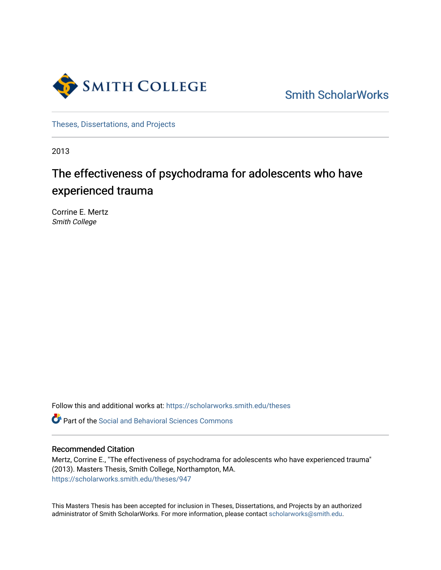

[Smith ScholarWorks](https://scholarworks.smith.edu/) 

[Theses, Dissertations, and Projects](https://scholarworks.smith.edu/theses) 

2013

# The effectiveness of psychodrama for adolescents who have experienced trauma

Corrine E. Mertz Smith College

Follow this and additional works at: [https://scholarworks.smith.edu/theses](https://scholarworks.smith.edu/theses?utm_source=scholarworks.smith.edu%2Ftheses%2F947&utm_medium=PDF&utm_campaign=PDFCoverPages) 

Part of the [Social and Behavioral Sciences Commons](http://network.bepress.com/hgg/discipline/316?utm_source=scholarworks.smith.edu%2Ftheses%2F947&utm_medium=PDF&utm_campaign=PDFCoverPages) 

### Recommended Citation

Mertz, Corrine E., "The effectiveness of psychodrama for adolescents who have experienced trauma" (2013). Masters Thesis, Smith College, Northampton, MA. [https://scholarworks.smith.edu/theses/947](https://scholarworks.smith.edu/theses/947?utm_source=scholarworks.smith.edu%2Ftheses%2F947&utm_medium=PDF&utm_campaign=PDFCoverPages) 

This Masters Thesis has been accepted for inclusion in Theses, Dissertations, and Projects by an authorized administrator of Smith ScholarWorks. For more information, please contact [scholarworks@smith.edu](mailto:scholarworks@smith.edu).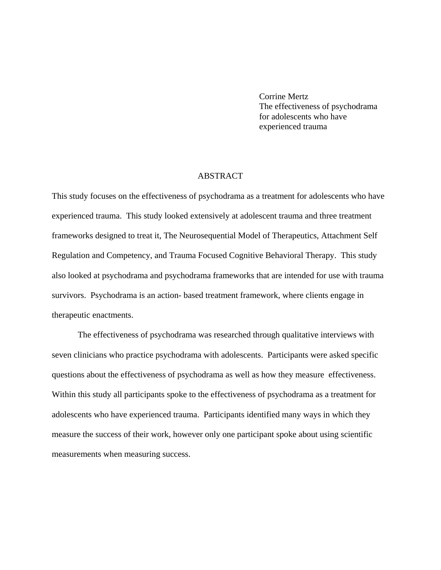Corrine Mertz The effectiveness of psychodrama for adolescents who have experienced trauma

### ABSTRACT

This study focuses on the effectiveness of psychodrama as a treatment for adolescents who have experienced trauma. This study looked extensively at adolescent trauma and three treatment frameworks designed to treat it, The Neurosequential Model of Therapeutics, Attachment Self Regulation and Competency, and Trauma Focused Cognitive Behavioral Therapy. This study also looked at psychodrama and psychodrama frameworks that are intended for use with trauma survivors. Psychodrama is an action- based treatment framework, where clients engage in therapeutic enactments.

The effectiveness of psychodrama was researched through qualitative interviews with seven clinicians who practice psychodrama with adolescents. Participants were asked specific questions about the effectiveness of psychodrama as well as how they measure effectiveness. Within this study all participants spoke to the effectiveness of psychodrama as a treatment for adolescents who have experienced trauma. Participants identified many ways in which they measure the success of their work, however only one participant spoke about using scientific measurements when measuring success.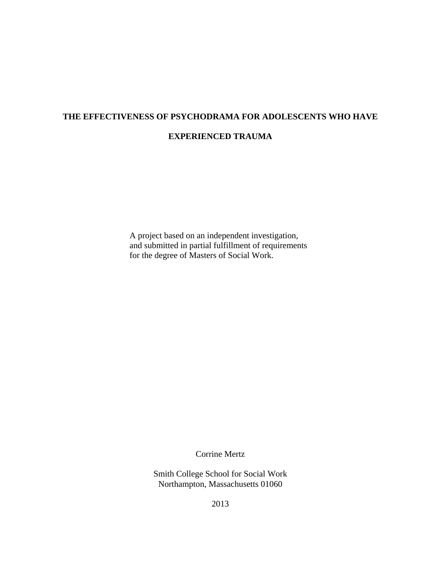# **THE EFFECTIVENESS OF PSYCHODRAMA FOR ADOLESCENTS WHO HAVE EXPERIENCED TRAUMA**

A project based on an independent investigation, and submitted in partial fulfillment of requirements for the degree of Masters of Social Work.

Corrine Mertz

Smith College School for Social Work Northampton, Massachusetts 01060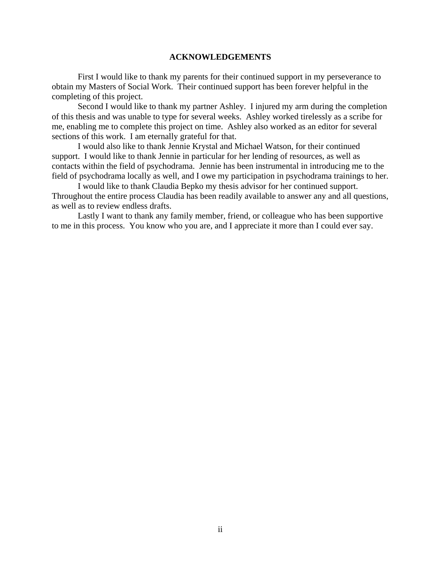### **ACKNOWLEDGEMENTS**

First I would like to thank my parents for their continued support in my perseverance to obtain my Masters of Social Work. Their continued support has been forever helpful in the completing of this project.

Second I would like to thank my partner Ashley. I injured my arm during the completion of this thesis and was unable to type for several weeks. Ashley worked tirelessly as a scribe for me, enabling me to complete this project on time. Ashley also worked as an editor for several sections of this work. I am eternally grateful for that.

I would also like to thank Jennie Krystal and Michael Watson, for their continued support. I would like to thank Jennie in particular for her lending of resources, as well as contacts within the field of psychodrama. Jennie has been instrumental in introducing me to the field of psychodrama locally as well, and I owe my participation in psychodrama trainings to her.

I would like to thank Claudia Bepko my thesis advisor for her continued support. Throughout the entire process Claudia has been readily available to answer any and all questions, as well as to review endless drafts.

Lastly I want to thank any family member, friend, or colleague who has been supportive to me in this process. You know who you are, and I appreciate it more than I could ever say.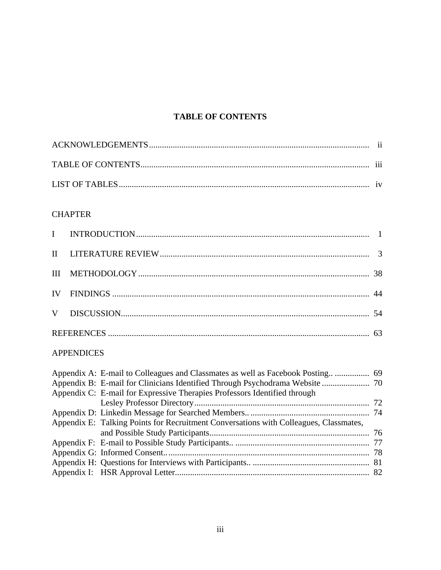## **TABLE OF CONTENTS**

### **CHAPTER**

### APPENDICES

| Appendix A: E-mail to Colleagues and Classmates as well as Facebook Posting 69        |  |
|---------------------------------------------------------------------------------------|--|
| Appendix B: E-mail for Clinicians Identified Through Psychodrama Website  70          |  |
| Appendix C: E-mail for Expressive Therapies Professors Identified through             |  |
|                                                                                       |  |
|                                                                                       |  |
| Appendix E: Talking Points for Recruitment Conversations with Colleagues, Classmates, |  |
|                                                                                       |  |
|                                                                                       |  |
|                                                                                       |  |
|                                                                                       |  |
|                                                                                       |  |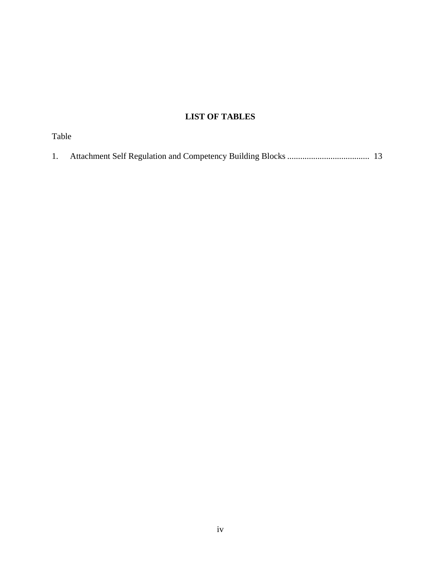## **LIST OF TABLES**

| Table |  |
|-------|--|
| 1.    |  |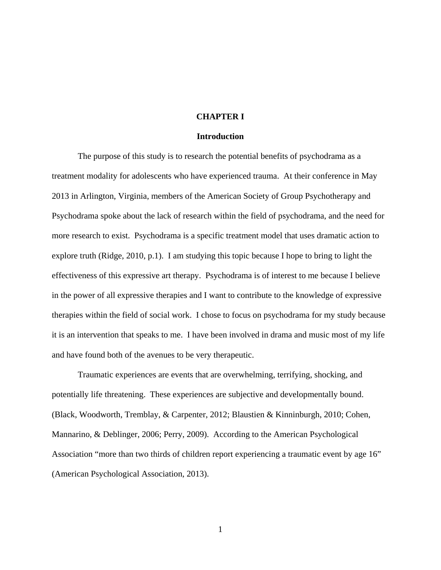### **CHAPTER I**

### **Introduction**

The purpose of this study is to research the potential benefits of psychodrama as a treatment modality for adolescents who have experienced trauma. At their conference in May 2013 in Arlington, Virginia, members of the American Society of Group Psychotherapy and Psychodrama spoke about the lack of research within the field of psychodrama, and the need for more research to exist. Psychodrama is a specific treatment model that uses dramatic action to explore truth (Ridge, 2010, p.1). I am studying this topic because I hope to bring to light the effectiveness of this expressive art therapy. Psychodrama is of interest to me because I believe in the power of all expressive therapies and I want to contribute to the knowledge of expressive therapies within the field of social work. I chose to focus on psychodrama for my study because it is an intervention that speaks to me. I have been involved in drama and music most of my life and have found both of the avenues to be very therapeutic.

 Traumatic experiences are events that are overwhelming, terrifying, shocking, and potentially life threatening. These experiences are subjective and developmentally bound. (Black, Woodworth, Tremblay, & Carpenter, 2012; Blaustien & Kinninburgh, 2010; Cohen, Mannarino, & Deblinger, 2006; Perry, 2009). According to the American Psychological Association "more than two thirds of children report experiencing a traumatic event by age 16" (American Psychological Association, 2013).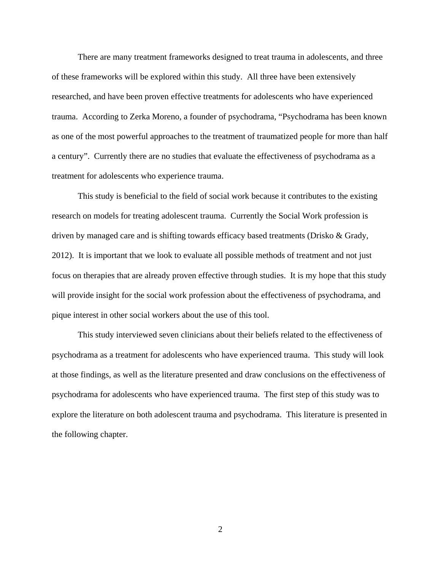There are many treatment frameworks designed to treat trauma in adolescents, and three of these frameworks will be explored within this study. All three have been extensively researched, and have been proven effective treatments for adolescents who have experienced trauma. According to Zerka Moreno, a founder of psychodrama, "Psychodrama has been known as one of the most powerful approaches to the treatment of traumatized people for more than half a century". Currently there are no studies that evaluate the effectiveness of psychodrama as a treatment for adolescents who experience trauma.

 This study is beneficial to the field of social work because it contributes to the existing research on models for treating adolescent trauma. Currently the Social Work profession is driven by managed care and is shifting towards efficacy based treatments (Drisko & Grady, 2012). It is important that we look to evaluate all possible methods of treatment and not just focus on therapies that are already proven effective through studies. It is my hope that this study will provide insight for the social work profession about the effectiveness of psychodrama, and pique interest in other social workers about the use of this tool.

This study interviewed seven clinicians about their beliefs related to the effectiveness of psychodrama as a treatment for adolescents who have experienced trauma. This study will look at those findings, as well as the literature presented and draw conclusions on the effectiveness of psychodrama for adolescents who have experienced trauma. The first step of this study was to explore the literature on both adolescent trauma and psychodrama. This literature is presented in the following chapter.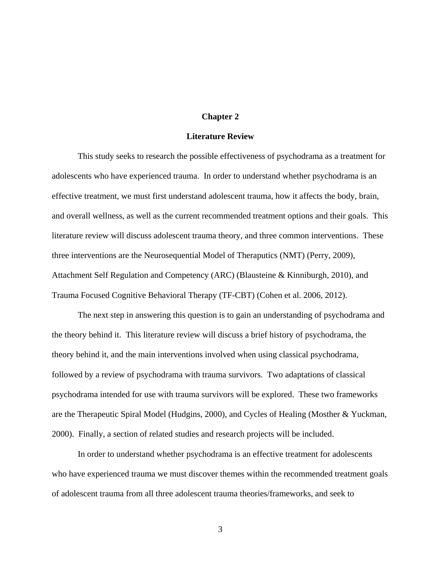### **Chapter 2**

### **Literature Review**

 This study seeks to research the possible effectiveness of psychodrama as a treatment for adolescents who have experienced trauma. In order to understand whether psychodrama is an effective treatment, we must first understand adolescent trauma, how it affects the body, brain, and overall wellness, as well as the current recommended treatment options and their goals. This literature review will discuss adolescent trauma theory, and three common interventions. These three interventions are the Neurosequential Model of Theraputics (NMT) (Perry, 2009), Attachment Self Regulation and Competency (ARC) (Blausteine & Kinniburgh, 2010), and Trauma Focused Cognitive Behavioral Therapy (TF-CBT) (Cohen et al. 2006, 2012).

 The next step in answering this question is to gain an understanding of psychodrama and the theory behind it. This literature review will discuss a brief history of psychodrama, the theory behind it, and the main interventions involved when using classical psychodrama, followed by a review of psychodrama with trauma survivors. Two adaptations of classical psychodrama intended for use with trauma survivors will be explored. These two frameworks are the Therapeutic Spiral Model (Hudgins, 2000), and Cycles of Healing (Mosther & Yuckman, 2000). Finally, a section of related studies and research projects will be included.

 In order to understand whether psychodrama is an effective treatment for adolescents who have experienced trauma we must discover themes within the recommended treatment goals of adolescent trauma from all three adolescent trauma theories/frameworks, and seek to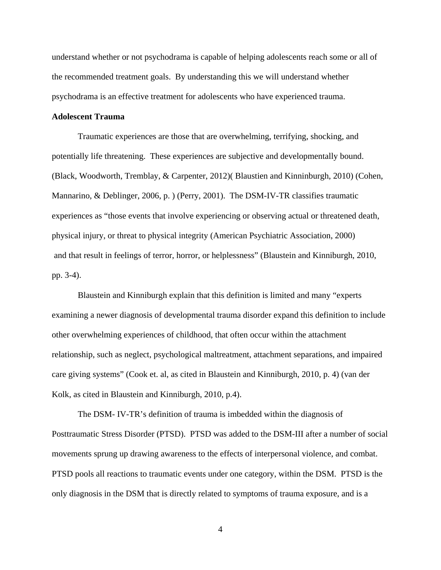understand whether or not psychodrama is capable of helping adolescents reach some or all of the recommended treatment goals. By understanding this we will understand whether psychodrama is an effective treatment for adolescents who have experienced trauma.

### **Adolescent Trauma**

 Traumatic experiences are those that are overwhelming, terrifying, shocking, and potentially life threatening. These experiences are subjective and developmentally bound. (Black, Woodworth, Tremblay, & Carpenter, 2012)( Blaustien and Kinninburgh, 2010) (Cohen, Mannarino, & Deblinger, 2006, p. ) (Perry, 2001). The DSM-IV-TR classifies traumatic experiences as "those events that involve experiencing or observing actual or threatened death, physical injury, or threat to physical integrity (American Psychiatric Association, 2000) and that result in feelings of terror, horror, or helplessness" (Blaustein and Kinniburgh, 2010, pp. 3-4).

 Blaustein and Kinniburgh explain that this definition is limited and many "experts examining a newer diagnosis of developmental trauma disorder expand this definition to include other overwhelming experiences of childhood, that often occur within the attachment relationship, such as neglect, psychological maltreatment, attachment separations, and impaired care giving systems" (Cook et. al, as cited in Blaustein and Kinniburgh, 2010, p. 4) (van der Kolk, as cited in Blaustein and Kinniburgh, 2010, p.4).

 The DSM- IV-TR's definition of trauma is imbedded within the diagnosis of Posttraumatic Stress Disorder (PTSD). PTSD was added to the DSM-III after a number of social movements sprung up drawing awareness to the effects of interpersonal violence, and combat. PTSD pools all reactions to traumatic events under one category, within the DSM. PTSD is the only diagnosis in the DSM that is directly related to symptoms of trauma exposure, and is a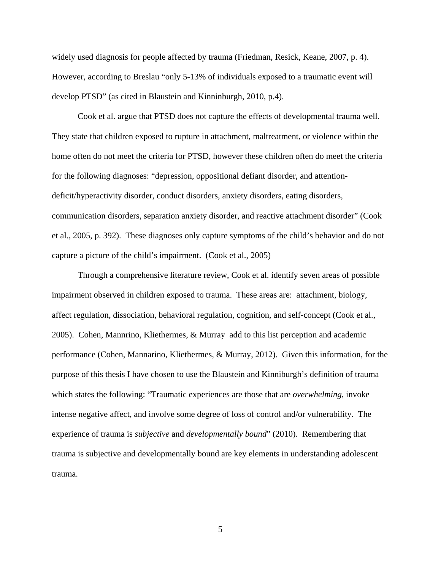widely used diagnosis for people affected by trauma (Friedman, Resick, Keane, 2007, p. 4). However, according to Breslau "only 5-13% of individuals exposed to a traumatic event will develop PTSD" (as cited in Blaustein and Kinninburgh, 2010, p.4).

 Cook et al. argue that PTSD does not capture the effects of developmental trauma well. They state that children exposed to rupture in attachment, maltreatment, or violence within the home often do not meet the criteria for PTSD, however these children often do meet the criteria for the following diagnoses: "depression, oppositional defiant disorder, and attentiondeficit/hyperactivity disorder, conduct disorders, anxiety disorders, eating disorders, communication disorders, separation anxiety disorder, and reactive attachment disorder" (Cook et al., 2005, p. 392). These diagnoses only capture symptoms of the child's behavior and do not capture a picture of the child's impairment. (Cook et al., 2005)

 Through a comprehensive literature review, Cook et al. identify seven areas of possible impairment observed in children exposed to trauma. These areas are: attachment, biology, affect regulation, dissociation, behavioral regulation, cognition, and self-concept (Cook et al., 2005). Cohen, Mannrino, Kliethermes, & Murray add to this list perception and academic performance (Cohen, Mannarino, Kliethermes, & Murray, 2012). Given this information, for the purpose of this thesis I have chosen to use the Blaustein and Kinniburgh's definition of trauma which states the following: "Traumatic experiences are those that are *overwhelming*, invoke intense negative affect, and involve some degree of loss of control and/or vulnerability. The experience of trauma is *subjective* and *developmentally bound*" (2010). Remembering that trauma is subjective and developmentally bound are key elements in understanding adolescent trauma.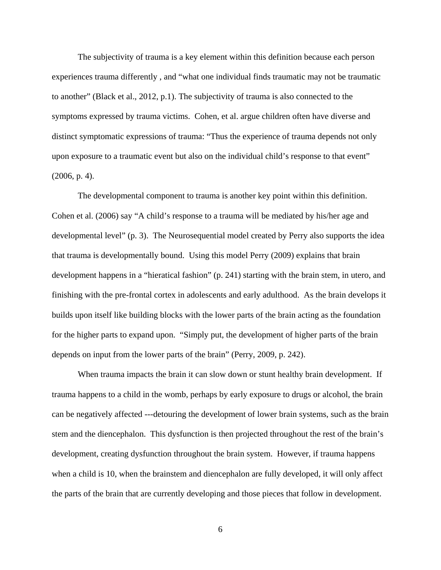The subjectivity of trauma is a key element within this definition because each person experiences trauma differently , and "what one individual finds traumatic may not be traumatic to another" (Black et al., 2012, p.1). The subjectivity of trauma is also connected to the symptoms expressed by trauma victims. Cohen, et al. argue children often have diverse and distinct symptomatic expressions of trauma: "Thus the experience of trauma depends not only upon exposure to a traumatic event but also on the individual child's response to that event" (2006, p. 4).

 The developmental component to trauma is another key point within this definition. Cohen et al. (2006) say "A child's response to a trauma will be mediated by his/her age and developmental level" (p. 3). The Neurosequential model created by Perry also supports the idea that trauma is developmentally bound. Using this model Perry (2009) explains that brain development happens in a "hieratical fashion" (p. 241) starting with the brain stem, in utero, and finishing with the pre-frontal cortex in adolescents and early adulthood. As the brain develops it builds upon itself like building blocks with the lower parts of the brain acting as the foundation for the higher parts to expand upon. "Simply put, the development of higher parts of the brain depends on input from the lower parts of the brain" (Perry, 2009, p. 242).

When trauma impacts the brain it can slow down or stunt healthy brain development. If trauma happens to a child in the womb, perhaps by early exposure to drugs or alcohol, the brain can be negatively affected ---detouring the development of lower brain systems, such as the brain stem and the diencephalon. This dysfunction is then projected throughout the rest of the brain's development, creating dysfunction throughout the brain system. However, if trauma happens when a child is 10, when the brainstem and diencephalon are fully developed, it will only affect the parts of the brain that are currently developing and those pieces that follow in development.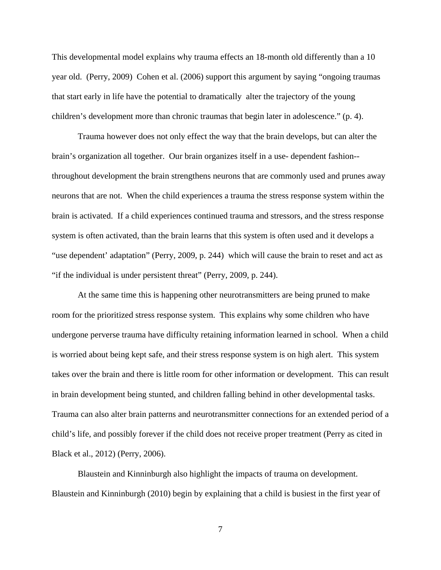This developmental model explains why trauma effects an 18-month old differently than a 10 year old. (Perry, 2009) Cohen et al. (2006) support this argument by saying "ongoing traumas that start early in life have the potential to dramatically alter the trajectory of the young children's development more than chronic traumas that begin later in adolescence." (p. 4).

 Trauma however does not only effect the way that the brain develops, but can alter the brain's organization all together. Our brain organizes itself in a use- dependent fashion- throughout development the brain strengthens neurons that are commonly used and prunes away neurons that are not. When the child experiences a trauma the stress response system within the brain is activated. If a child experiences continued trauma and stressors, and the stress response system is often activated, than the brain learns that this system is often used and it develops a "use dependent' adaptation" (Perry, 2009, p. 244) which will cause the brain to reset and act as "if the individual is under persistent threat" (Perry, 2009, p. 244).

 At the same time this is happening other neurotransmitters are being pruned to make room for the prioritized stress response system. This explains why some children who have undergone perverse trauma have difficulty retaining information learned in school. When a child is worried about being kept safe, and their stress response system is on high alert. This system takes over the brain and there is little room for other information or development. This can result in brain development being stunted, and children falling behind in other developmental tasks. Trauma can also alter brain patterns and neurotransmitter connections for an extended period of a child's life, and possibly forever if the child does not receive proper treatment (Perry as cited in Black et al., 2012) (Perry, 2006).

 Blaustein and Kinninburgh also highlight the impacts of trauma on development. Blaustein and Kinninburgh (2010) begin by explaining that a child is busiest in the first year of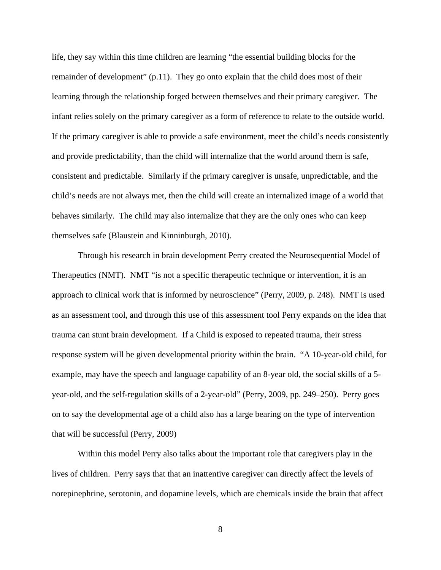life, they say within this time children are learning "the essential building blocks for the remainder of development" (p.11). They go onto explain that the child does most of their learning through the relationship forged between themselves and their primary caregiver. The infant relies solely on the primary caregiver as a form of reference to relate to the outside world. If the primary caregiver is able to provide a safe environment, meet the child's needs consistently and provide predictability, than the child will internalize that the world around them is safe, consistent and predictable. Similarly if the primary caregiver is unsafe, unpredictable, and the child's needs are not always met, then the child will create an internalized image of a world that behaves similarly. The child may also internalize that they are the only ones who can keep themselves safe (Blaustein and Kinninburgh, 2010).

 Through his research in brain development Perry created the Neurosequential Model of Therapeutics (NMT). NMT "is not a specific therapeutic technique or intervention, it is an approach to clinical work that is informed by neuroscience" (Perry, 2009, p. 248). NMT is used as an assessment tool, and through this use of this assessment tool Perry expands on the idea that trauma can stunt brain development. If a Child is exposed to repeated trauma, their stress response system will be given developmental priority within the brain. "A 10-year-old child, for example, may have the speech and language capability of an 8-year old, the social skills of a 5 year-old, and the self-regulation skills of a 2-year-old" (Perry, 2009, pp. 249–250). Perry goes on to say the developmental age of a child also has a large bearing on the type of intervention that will be successful (Perry, 2009)

 Within this model Perry also talks about the important role that caregivers play in the lives of children. Perry says that that an inattentive caregiver can directly affect the levels of norepinephrine, serotonin, and dopamine levels, which are chemicals inside the brain that affect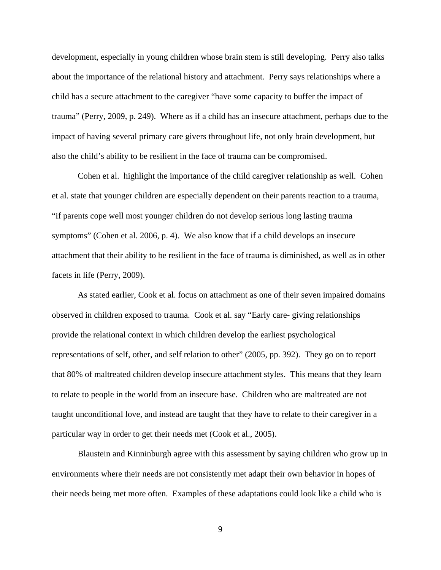development, especially in young children whose brain stem is still developing. Perry also talks about the importance of the relational history and attachment. Perry says relationships where a child has a secure attachment to the caregiver "have some capacity to buffer the impact of trauma" (Perry, 2009, p. 249). Where as if a child has an insecure attachment, perhaps due to the impact of having several primary care givers throughout life, not only brain development, but also the child's ability to be resilient in the face of trauma can be compromised.

 Cohen et al. highlight the importance of the child caregiver relationship as well. Cohen et al. state that younger children are especially dependent on their parents reaction to a trauma, "if parents cope well most younger children do not develop serious long lasting trauma symptoms" (Cohen et al. 2006, p. 4). We also know that if a child develops an insecure attachment that their ability to be resilient in the face of trauma is diminished, as well as in other facets in life (Perry, 2009).

 As stated earlier, Cook et al. focus on attachment as one of their seven impaired domains observed in children exposed to trauma. Cook et al. say "Early care- giving relationships provide the relational context in which children develop the earliest psychological representations of self, other, and self relation to other" (2005, pp. 392). They go on to report that 80% of maltreated children develop insecure attachment styles. This means that they learn to relate to people in the world from an insecure base. Children who are maltreated are not taught unconditional love, and instead are taught that they have to relate to their caregiver in a particular way in order to get their needs met (Cook et al., 2005).

 Blaustein and Kinninburgh agree with this assessment by saying children who grow up in environments where their needs are not consistently met adapt their own behavior in hopes of their needs being met more often. Examples of these adaptations could look like a child who is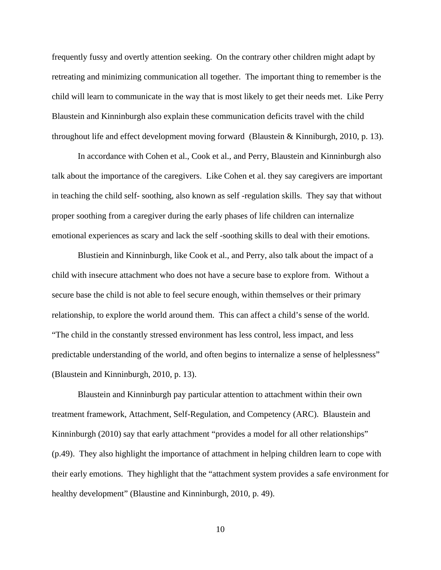frequently fussy and overtly attention seeking. On the contrary other children might adapt by retreating and minimizing communication all together. The important thing to remember is the child will learn to communicate in the way that is most likely to get their needs met. Like Perry Blaustein and Kinninburgh also explain these communication deficits travel with the child throughout life and effect development moving forward (Blaustein & Kinniburgh, 2010, p. 13).

 In accordance with Cohen et al., Cook et al., and Perry, Blaustein and Kinninburgh also talk about the importance of the caregivers. Like Cohen et al. they say caregivers are important in teaching the child self- soothing, also known as self -regulation skills. They say that without proper soothing from a caregiver during the early phases of life children can internalize emotional experiences as scary and lack the self -soothing skills to deal with their emotions.

 Blustiein and Kinninburgh, like Cook et al., and Perry, also talk about the impact of a child with insecure attachment who does not have a secure base to explore from. Without a secure base the child is not able to feel secure enough, within themselves or their primary relationship, to explore the world around them. This can affect a child's sense of the world. "The child in the constantly stressed environment has less control, less impact, and less predictable understanding of the world, and often begins to internalize a sense of helplessness" (Blaustein and Kinninburgh, 2010, p. 13).

 Blaustein and Kinninburgh pay particular attention to attachment within their own treatment framework, Attachment, Self-Regulation, and Competency (ARC). Blaustein and Kinninburgh (2010) say that early attachment "provides a model for all other relationships" (p.49). They also highlight the importance of attachment in helping children learn to cope with their early emotions. They highlight that the "attachment system provides a safe environment for healthy development" (Blaustine and Kinninburgh, 2010, p. 49).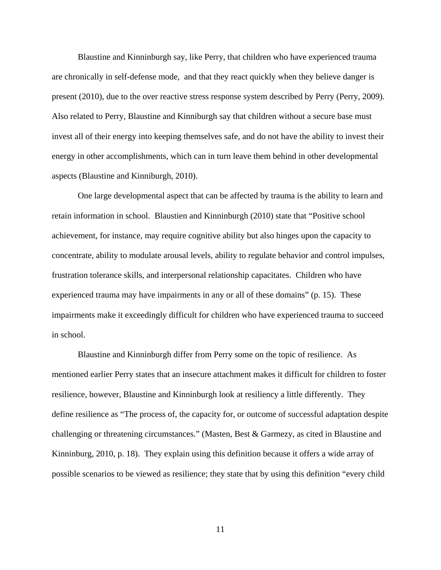Blaustine and Kinninburgh say, like Perry, that children who have experienced trauma are chronically in self-defense mode, and that they react quickly when they believe danger is present (2010), due to the over reactive stress response system described by Perry (Perry, 2009). Also related to Perry, Blaustine and Kinniburgh say that children without a secure base must invest all of their energy into keeping themselves safe, and do not have the ability to invest their energy in other accomplishments, which can in turn leave them behind in other developmental aspects (Blaustine and Kinniburgh, 2010).

 One large developmental aspect that can be affected by trauma is the ability to learn and retain information in school. Blaustien and Kinninburgh (2010) state that "Positive school achievement, for instance, may require cognitive ability but also hinges upon the capacity to concentrate, ability to modulate arousal levels, ability to regulate behavior and control impulses, frustration tolerance skills, and interpersonal relationship capacitates. Children who have experienced trauma may have impairments in any or all of these domains" (p. 15). These impairments make it exceedingly difficult for children who have experienced trauma to succeed in school.

 Blaustine and Kinninburgh differ from Perry some on the topic of resilience. As mentioned earlier Perry states that an insecure attachment makes it difficult for children to foster resilience, however, Blaustine and Kinninburgh look at resiliency a little differently. They define resilience as "The process of, the capacity for, or outcome of successful adaptation despite challenging or threatening circumstances." (Masten, Best & Garmezy, as cited in Blaustine and Kinninburg, 2010, p. 18). They explain using this definition because it offers a wide array of possible scenarios to be viewed as resilience; they state that by using this definition "every child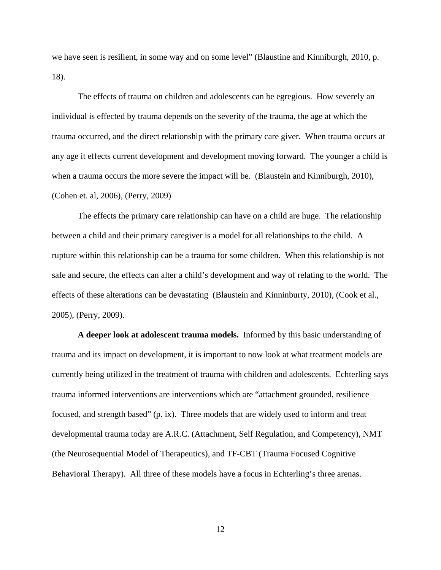we have seen is resilient, in some way and on some level" (Blaustine and Kinniburgh, 2010, p. 18).

 The effects of trauma on children and adolescents can be egregious. How severely an individual is effected by trauma depends on the severity of the trauma, the age at which the trauma occurred, and the direct relationship with the primary care giver. When trauma occurs at any age it effects current development and development moving forward. The younger a child is when a trauma occurs the more severe the impact will be. (Blaustein and Kinniburgh, 2010), (Cohen et. al, 2006), (Perry, 2009)

 The effects the primary care relationship can have on a child are huge. The relationship between a child and their primary caregiver is a model for all relationships to the child. A rupture within this relationship can be a trauma for some children. When this relationship is not safe and secure, the effects can alter a child's development and way of relating to the world. The effects of these alterations can be devastating (Blaustein and Kinninburty, 2010), (Cook et al., 2005), (Perry, 2009).

 **A deeper look at adolescent trauma models.** Informed by this basic understanding of trauma and its impact on development, it is important to now look at what treatment models are currently being utilized in the treatment of trauma with children and adolescents. Echterling says trauma informed interventions are interventions which are "attachment grounded, resilience focused, and strength based" (p. ix). Three models that are widely used to inform and treat developmental trauma today are A.R.C. (Attachment, Self Regulation, and Competency), NMT (the Neurosequential Model of Therapeutics), and TF-CBT (Trauma Focused Cognitive Behavioral Therapy). All three of these models have a focus in Echterling's three arenas.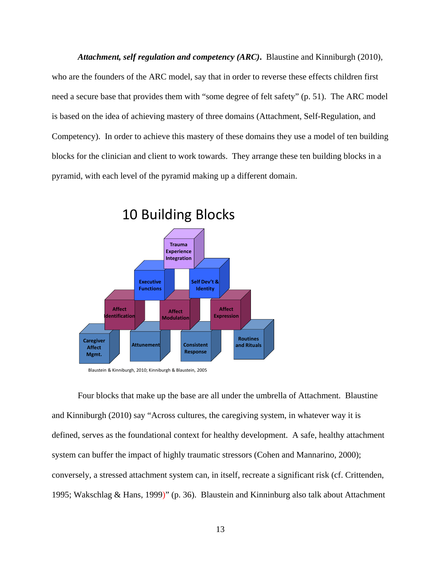*Attachment, self regulation and competency (ARC)***.** Blaustine and Kinniburgh (2010), who are the founders of the ARC model, say that in order to reverse these effects children first need a secure base that provides them with "some degree of felt safety" (p. 51). The ARC model is based on the idea of achieving mastery of three domains (Attachment, Self-Regulation, and Competency). In order to achieve this mastery of these domains they use a model of ten building blocks for the clinician and client to work towards. They arrange these ten building blocks in a pyramid, with each level of the pyramid making up a different domain.



10 Building Blocks

 Four blocks that make up the base are all under the umbrella of Attachment. Blaustine and Kinniburgh (2010) say "Across cultures, the caregiving system, in whatever way it is defined, serves as the foundational context for healthy development. A safe, healthy attachment system can buffer the impact of highly traumatic stressors (Cohen and Mannarino, 2000); conversely, a stressed attachment system can, in itself, recreate a significant risk (cf. Crittenden, 1995; Wakschlag & Hans, 1999)" (p. 36). Blaustein and Kinninburg also talk about Attachment

Blaustein & Kinniburgh, 2010; Kinniburgh & Blaustein, 2005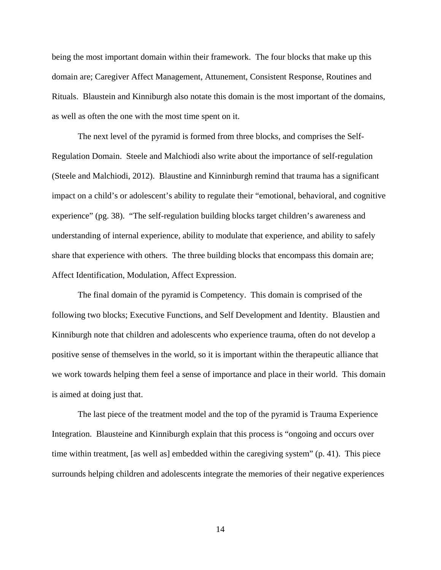being the most important domain within their framework. The four blocks that make up this domain are; Caregiver Affect Management, Attunement, Consistent Response, Routines and Rituals. Blaustein and Kinniburgh also notate this domain is the most important of the domains, as well as often the one with the most time spent on it.

 The next level of the pyramid is formed from three blocks, and comprises the Self-Regulation Domain. Steele and Malchiodi also write about the importance of self-regulation (Steele and Malchiodi, 2012). Blaustine and Kinninburgh remind that trauma has a significant impact on a child's or adolescent's ability to regulate their "emotional, behavioral, and cognitive experience" (pg. 38). "The self-regulation building blocks target children's awareness and understanding of internal experience, ability to modulate that experience, and ability to safely share that experience with others. The three building blocks that encompass this domain are; Affect Identification, Modulation, Affect Expression.

 The final domain of the pyramid is Competency. This domain is comprised of the following two blocks; Executive Functions, and Self Development and Identity. Blaustien and Kinniburgh note that children and adolescents who experience trauma, often do not develop a positive sense of themselves in the world, so it is important within the therapeutic alliance that we work towards helping them feel a sense of importance and place in their world. This domain is aimed at doing just that.

 The last piece of the treatment model and the top of the pyramid is Trauma Experience Integration. Blausteine and Kinniburgh explain that this process is "ongoing and occurs over time within treatment, [as well as] embedded within the caregiving system" (p. 41). This piece surrounds helping children and adolescents integrate the memories of their negative experiences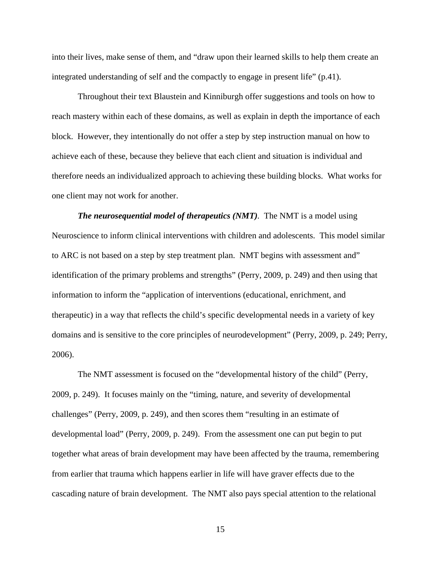into their lives, make sense of them, and "draw upon their learned skills to help them create an integrated understanding of self and the compactly to engage in present life" (p.41).

 Throughout their text Blaustein and Kinniburgh offer suggestions and tools on how to reach mastery within each of these domains, as well as explain in depth the importance of each block. However, they intentionally do not offer a step by step instruction manual on how to achieve each of these, because they believe that each client and situation is individual and therefore needs an individualized approach to achieving these building blocks. What works for one client may not work for another.

*The neurosequential model of therapeutics (NMT).* The NMT is a model using Neuroscience to inform clinical interventions with children and adolescents. This model similar to ARC is not based on a step by step treatment plan. NMT begins with assessment and" identification of the primary problems and strengths" (Perry, 2009, p. 249) and then using that information to inform the "application of interventions (educational, enrichment, and therapeutic) in a way that reflects the child's specific developmental needs in a variety of key domains and is sensitive to the core principles of neurodevelopment" (Perry, 2009, p. 249; Perry, 2006).

 The NMT assessment is focused on the "developmental history of the child" (Perry, 2009, p. 249). It focuses mainly on the "timing, nature, and severity of developmental challenges" (Perry, 2009, p. 249), and then scores them "resulting in an estimate of developmental load" (Perry, 2009, p. 249). From the assessment one can put begin to put together what areas of brain development may have been affected by the trauma, remembering from earlier that trauma which happens earlier in life will have graver effects due to the cascading nature of brain development. The NMT also pays special attention to the relational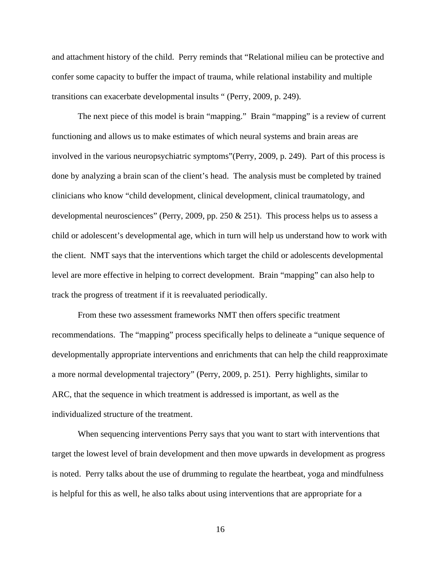and attachment history of the child. Perry reminds that "Relational milieu can be protective and confer some capacity to buffer the impact of trauma, while relational instability and multiple transitions can exacerbate developmental insults " (Perry, 2009, p. 249).

 The next piece of this model is brain "mapping." Brain "mapping" is a review of current functioning and allows us to make estimates of which neural systems and brain areas are involved in the various neuropsychiatric symptoms"(Perry, 2009, p. 249). Part of this process is done by analyzing a brain scan of the client's head. The analysis must be completed by trained clinicians who know "child development, clinical development, clinical traumatology, and developmental neurosciences" (Perry, 2009, pp. 250  $\&$  251). This process helps us to assess a child or adolescent's developmental age, which in turn will help us understand how to work with the client. NMT says that the interventions which target the child or adolescents developmental level are more effective in helping to correct development. Brain "mapping" can also help to track the progress of treatment if it is reevaluated periodically.

 From these two assessment frameworks NMT then offers specific treatment recommendations. The "mapping" process specifically helps to delineate a "unique sequence of developmentally appropriate interventions and enrichments that can help the child reapproximate a more normal developmental trajectory" (Perry, 2009, p. 251). Perry highlights, similar to ARC, that the sequence in which treatment is addressed is important, as well as the individualized structure of the treatment.

 When sequencing interventions Perry says that you want to start with interventions that target the lowest level of brain development and then move upwards in development as progress is noted. Perry talks about the use of drumming to regulate the heartbeat, yoga and mindfulness is helpful for this as well, he also talks about using interventions that are appropriate for a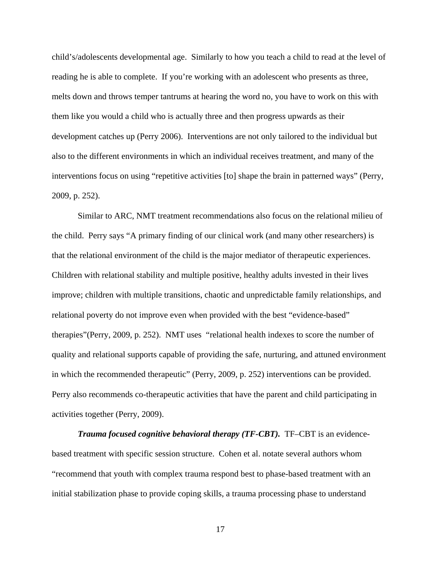child's/adolescents developmental age. Similarly to how you teach a child to read at the level of reading he is able to complete. If you're working with an adolescent who presents as three, melts down and throws temper tantrums at hearing the word no, you have to work on this with them like you would a child who is actually three and then progress upwards as their development catches up (Perry 2006). Interventions are not only tailored to the individual but also to the different environments in which an individual receives treatment, and many of the interventions focus on using "repetitive activities [to] shape the brain in patterned ways" (Perry, 2009, p. 252).

 Similar to ARC, NMT treatment recommendations also focus on the relational milieu of the child. Perry says "A primary finding of our clinical work (and many other researchers) is that the relational environment of the child is the major mediator of therapeutic experiences. Children with relational stability and multiple positive, healthy adults invested in their lives improve; children with multiple transitions, chaotic and unpredictable family relationships, and relational poverty do not improve even when provided with the best "evidence-based" therapies"(Perry, 2009, p. 252). NMT uses "relational health indexes to score the number of quality and relational supports capable of providing the safe, nurturing, and attuned environment in which the recommended therapeutic" (Perry, 2009, p. 252) interventions can be provided. Perry also recommends co-therapeutic activities that have the parent and child participating in activities together (Perry, 2009).

*Trauma focused cognitive behavioral therapy (TF-CBT).* TF–CBT is an evidencebased treatment with specific session structure. Cohen et al. notate several authors whom "recommend that youth with complex trauma respond best to phase-based treatment with an initial stabilization phase to provide coping skills, a trauma processing phase to understand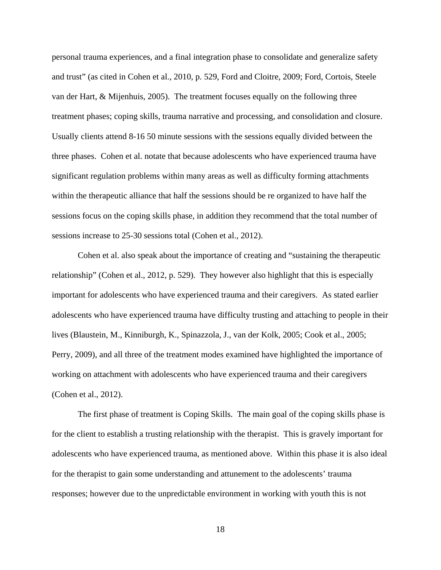personal trauma experiences, and a final integration phase to consolidate and generalize safety and trust" (as cited in Cohen et al., 2010, p. 529, Ford and Cloitre, 2009; Ford, Cortois, Steele van der Hart, & Mijenhuis, 2005). The treatment focuses equally on the following three treatment phases; coping skills, trauma narrative and processing, and consolidation and closure. Usually clients attend 8-16 50 minute sessions with the sessions equally divided between the three phases. Cohen et al. notate that because adolescents who have experienced trauma have significant regulation problems within many areas as well as difficulty forming attachments within the therapeutic alliance that half the sessions should be re organized to have half the sessions focus on the coping skills phase, in addition they recommend that the total number of sessions increase to 25-30 sessions total (Cohen et al., 2012).

 Cohen et al. also speak about the importance of creating and "sustaining the therapeutic relationship" (Cohen et al., 2012, p. 529). They however also highlight that this is especially important for adolescents who have experienced trauma and their caregivers. As stated earlier adolescents who have experienced trauma have difficulty trusting and attaching to people in their lives (Blaustein, M., Kinniburgh, K., Spinazzola, J., van der Kolk, 2005; Cook et al., 2005; Perry, 2009), and all three of the treatment modes examined have highlighted the importance of working on attachment with adolescents who have experienced trauma and their caregivers (Cohen et al., 2012).

 The first phase of treatment is Coping Skills. The main goal of the coping skills phase is for the client to establish a trusting relationship with the therapist. This is gravely important for adolescents who have experienced trauma, as mentioned above. Within this phase it is also ideal for the therapist to gain some understanding and attunement to the adolescents' trauma responses; however due to the unpredictable environment in working with youth this is not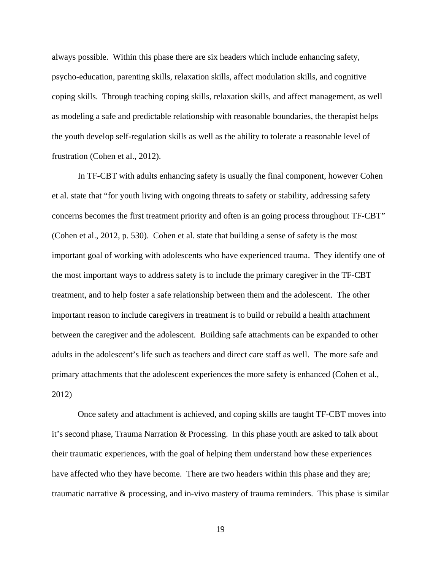always possible. Within this phase there are six headers which include enhancing safety, psycho-education, parenting skills, relaxation skills, affect modulation skills, and cognitive coping skills. Through teaching coping skills, relaxation skills, and affect management, as well as modeling a safe and predictable relationship with reasonable boundaries, the therapist helps the youth develop self-regulation skills as well as the ability to tolerate a reasonable level of frustration (Cohen et al., 2012).

 In TF-CBT with adults enhancing safety is usually the final component, however Cohen et al. state that "for youth living with ongoing threats to safety or stability, addressing safety concerns becomes the first treatment priority and often is an going process throughout TF-CBT" (Cohen et al., 2012, p. 530). Cohen et al. state that building a sense of safety is the most important goal of working with adolescents who have experienced trauma. They identify one of the most important ways to address safety is to include the primary caregiver in the TF-CBT treatment, and to help foster a safe relationship between them and the adolescent. The other important reason to include caregivers in treatment is to build or rebuild a health attachment between the caregiver and the adolescent. Building safe attachments can be expanded to other adults in the adolescent's life such as teachers and direct care staff as well. The more safe and primary attachments that the adolescent experiences the more safety is enhanced (Cohen et al., 2012)

 Once safety and attachment is achieved, and coping skills are taught TF-CBT moves into it's second phase, Trauma Narration & Processing. In this phase youth are asked to talk about their traumatic experiences, with the goal of helping them understand how these experiences have affected who they have become. There are two headers within this phase and they are; traumatic narrative & processing, and in-vivo mastery of trauma reminders. This phase is similar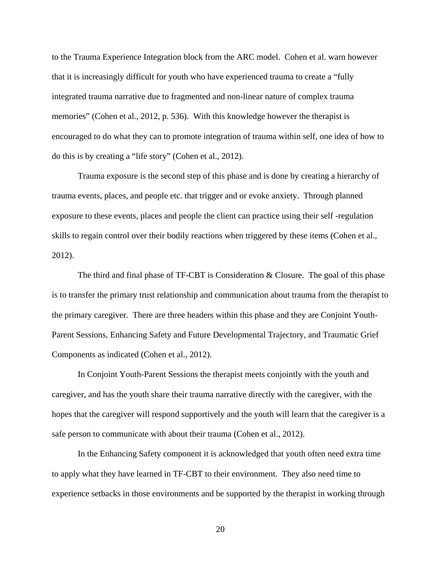to the Trauma Experience Integration block from the ARC model. Cohen et al. warn however that it is increasingly difficult for youth who have experienced trauma to create a "fully integrated trauma narrative due to fragmented and non-linear nature of complex trauma memories" (Cohen et al., 2012, p. 536). With this knowledge however the therapist is encouraged to do what they can to promote integration of trauma within self, one idea of how to do this is by creating a "life story" (Cohen et al., 2012).

 Trauma exposure is the second step of this phase and is done by creating a hierarchy of trauma events, places, and people etc. that trigger and or evoke anxiety. Through planned exposure to these events, places and people the client can practice using their self -regulation skills to regain control over their bodily reactions when triggered by these items (Cohen et al., 2012).

 The third and final phase of TF-CBT is Consideration & Closure. The goal of this phase is to transfer the primary trust relationship and communication about trauma from the therapist to the primary caregiver. There are three headers within this phase and they are Conjoint Youth-Parent Sessions, Enhancing Safety and Future Developmental Trajectory, and Traumatic Grief Components as indicated (Cohen et al., 2012).

 In Conjoint Youth-Parent Sessions the therapist meets conjointly with the youth and caregiver, and has the youth share their trauma narrative directly with the caregiver, with the hopes that the caregiver will respond supportively and the youth will learn that the caregiver is a safe person to communicate with about their trauma (Cohen et al., 2012).

 In the Enhancing Safety component it is acknowledged that youth often need extra time to apply what they have learned in TF-CBT to their environment. They also need time to experience setbacks in those environments and be supported by the therapist in working through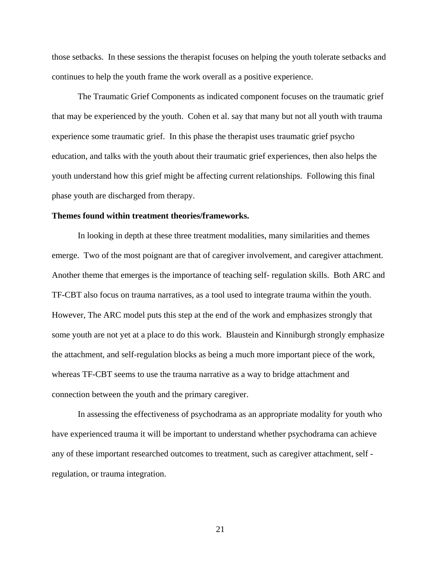those setbacks. In these sessions the therapist focuses on helping the youth tolerate setbacks and continues to help the youth frame the work overall as a positive experience.

 The Traumatic Grief Components as indicated component focuses on the traumatic grief that may be experienced by the youth. Cohen et al. say that many but not all youth with trauma experience some traumatic grief. In this phase the therapist uses traumatic grief psycho education, and talks with the youth about their traumatic grief experiences, then also helps the youth understand how this grief might be affecting current relationships. Following this final phase youth are discharged from therapy.

#### **Themes found within treatment theories/frameworks.**

In looking in depth at these three treatment modalities, many similarities and themes emerge. Two of the most poignant are that of caregiver involvement, and caregiver attachment. Another theme that emerges is the importance of teaching self- regulation skills. Both ARC and TF-CBT also focus on trauma narratives, as a tool used to integrate trauma within the youth. However, The ARC model puts this step at the end of the work and emphasizes strongly that some youth are not yet at a place to do this work. Blaustein and Kinniburgh strongly emphasize the attachment, and self-regulation blocks as being a much more important piece of the work, whereas TF-CBT seems to use the trauma narrative as a way to bridge attachment and connection between the youth and the primary caregiver.

 In assessing the effectiveness of psychodrama as an appropriate modality for youth who have experienced trauma it will be important to understand whether psychodrama can achieve any of these important researched outcomes to treatment, such as caregiver attachment, self regulation, or trauma integration.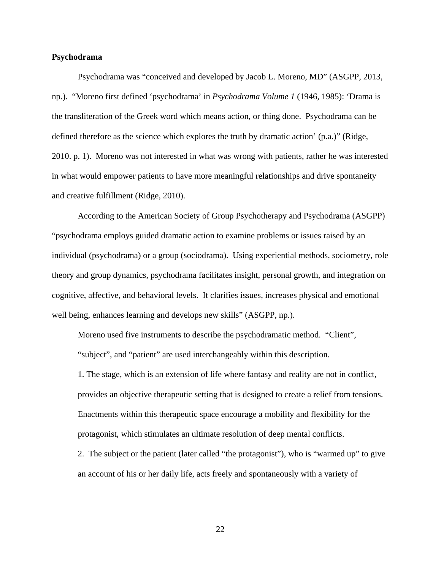### **Psychodrama**

 Psychodrama was "conceived and developed by Jacob L. Moreno, MD" (ASGPP, 2013, np.). "Moreno first defined 'psychodrama' in *Psychodrama Volume 1* (1946, 1985): 'Drama is the transliteration of the Greek word which means action, or thing done. Psychodrama can be defined therefore as the science which explores the truth by dramatic action' (p.a.)" (Ridge, 2010. p. 1). Moreno was not interested in what was wrong with patients, rather he was interested in what would empower patients to have more meaningful relationships and drive spontaneity and creative fulfillment (Ridge, 2010).

 According to the American Society of Group Psychotherapy and Psychodrama (ASGPP) "psychodrama employs guided dramatic action to examine problems or issues raised by an individual (psychodrama) or a group (sociodrama). Using experiential methods, sociometry, role theory and group dynamics, psychodrama facilitates insight, personal growth, and integration on cognitive, affective, and behavioral levels. It clarifies issues, increases physical and emotional well being, enhances learning and develops new skills" (ASGPP, np.).

 Moreno used five instruments to describe the psychodramatic method. "Client", "subject", and "patient" are used interchangeably within this description.

1. The stage, which is an extension of life where fantasy and reality are not in conflict, provides an objective therapeutic setting that is designed to create a relief from tensions. Enactments within this therapeutic space encourage a mobility and flexibility for the protagonist, which stimulates an ultimate resolution of deep mental conflicts.

2. The subject or the patient (later called "the protagonist"), who is "warmed up" to give an account of his or her daily life, acts freely and spontaneously with a variety of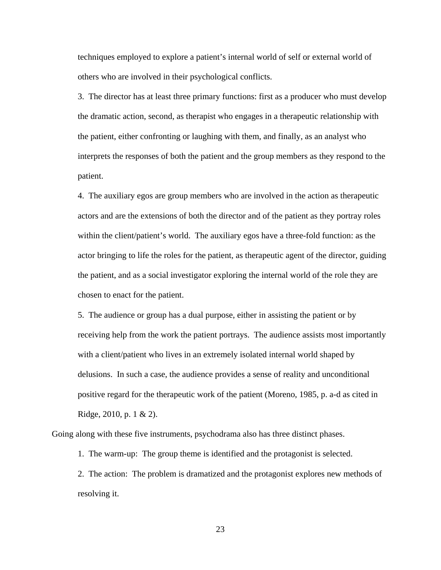techniques employed to explore a patient's internal world of self or external world of others who are involved in their psychological conflicts.

3. The director has at least three primary functions: first as a producer who must develop the dramatic action, second, as therapist who engages in a therapeutic relationship with the patient, either confronting or laughing with them, and finally, as an analyst who interprets the responses of both the patient and the group members as they respond to the patient.

4. The auxiliary egos are group members who are involved in the action as therapeutic actors and are the extensions of both the director and of the patient as they portray roles within the client/patient's world. The auxiliary egos have a three-fold function: as the actor bringing to life the roles for the patient, as therapeutic agent of the director, guiding the patient, and as a social investigator exploring the internal world of the role they are chosen to enact for the patient.

5. The audience or group has a dual purpose, either in assisting the patient or by receiving help from the work the patient portrays. The audience assists most importantly with a client/patient who lives in an extremely isolated internal world shaped by delusions. In such a case, the audience provides a sense of reality and unconditional positive regard for the therapeutic work of the patient (Moreno, 1985, p. a-d as cited in Ridge, 2010, p. 1 & 2).

Going along with these five instruments, psychodrama also has three distinct phases.

1. The warm-up: The group theme is identified and the protagonist is selected.

2. The action: The problem is dramatized and the protagonist explores new methods of resolving it.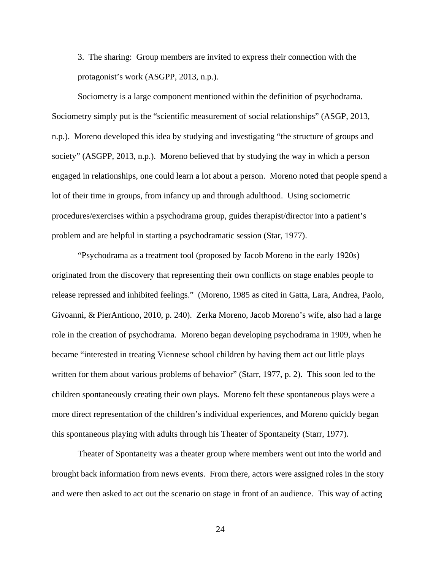3. The sharing: Group members are invited to express their connection with the protagonist's work (ASGPP, 2013, n.p.).

 Sociometry is a large component mentioned within the definition of psychodrama. Sociometry simply put is the "scientific measurement of social relationships" (ASGP, 2013, n.p.). Moreno developed this idea by studying and investigating "the structure of groups and society" (ASGPP, 2013, n.p.). Moreno believed that by studying the way in which a person engaged in relationships, one could learn a lot about a person. Moreno noted that people spend a lot of their time in groups, from infancy up and through adulthood. Using sociometric procedures/exercises within a psychodrama group, guides therapist/director into a patient's problem and are helpful in starting a psychodramatic session (Star, 1977).

 "Psychodrama as a treatment tool (proposed by Jacob Moreno in the early 1920s) originated from the discovery that representing their own conflicts on stage enables people to release repressed and inhibited feelings." (Moreno, 1985 as cited in Gatta, Lara, Andrea, Paolo, Givoanni, & PierAntiono, 2010, p. 240). Zerka Moreno, Jacob Moreno's wife, also had a large role in the creation of psychodrama. Moreno began developing psychodrama in 1909, when he became "interested in treating Viennese school children by having them act out little plays written for them about various problems of behavior" (Starr, 1977, p. 2). This soon led to the children spontaneously creating their own plays. Moreno felt these spontaneous plays were a more direct representation of the children's individual experiences, and Moreno quickly began this spontaneous playing with adults through his Theater of Spontaneity (Starr, 1977).

 Theater of Spontaneity was a theater group where members went out into the world and brought back information from news events. From there, actors were assigned roles in the story and were then asked to act out the scenario on stage in front of an audience. This way of acting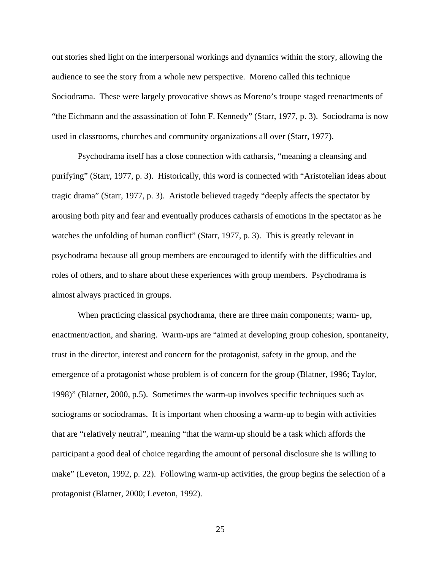out stories shed light on the interpersonal workings and dynamics within the story, allowing the audience to see the story from a whole new perspective. Moreno called this technique Sociodrama. These were largely provocative shows as Moreno's troupe staged reenactments of "the Eichmann and the assassination of John F. Kennedy" (Starr, 1977, p. 3). Sociodrama is now used in classrooms, churches and community organizations all over (Starr, 1977).

 Psychodrama itself has a close connection with catharsis, "meaning a cleansing and purifying" (Starr, 1977, p. 3). Historically, this word is connected with "Aristotelian ideas about tragic drama" (Starr, 1977, p. 3). Aristotle believed tragedy "deeply affects the spectator by arousing both pity and fear and eventually produces catharsis of emotions in the spectator as he watches the unfolding of human conflict" (Starr, 1977, p. 3). This is greatly relevant in psychodrama because all group members are encouraged to identify with the difficulties and roles of others, and to share about these experiences with group members. Psychodrama is almost always practiced in groups.

 When practicing classical psychodrama, there are three main components; warm- up, enactment/action, and sharing. Warm-ups are "aimed at developing group cohesion, spontaneity, trust in the director, interest and concern for the protagonist, safety in the group, and the emergence of a protagonist whose problem is of concern for the group (Blatner, 1996; Taylor, 1998)" (Blatner, 2000, p.5). Sometimes the warm-up involves specific techniques such as sociograms or sociodramas. It is important when choosing a warm-up to begin with activities that are "relatively neutral", meaning "that the warm-up should be a task which affords the participant a good deal of choice regarding the amount of personal disclosure she is willing to make" (Leveton, 1992, p. 22). Following warm-up activities, the group begins the selection of a protagonist (Blatner, 2000; Leveton, 1992).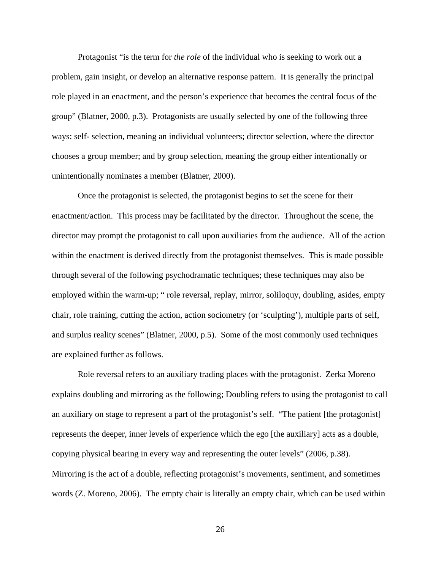Protagonist "is the term for *the role* of the individual who is seeking to work out a problem, gain insight, or develop an alternative response pattern. It is generally the principal role played in an enactment, and the person's experience that becomes the central focus of the group" (Blatner, 2000, p.3). Protagonists are usually selected by one of the following three ways: self- selection, meaning an individual volunteers; director selection, where the director chooses a group member; and by group selection, meaning the group either intentionally or unintentionally nominates a member (Blatner, 2000).

 Once the protagonist is selected, the protagonist begins to set the scene for their enactment/action. This process may be facilitated by the director. Throughout the scene, the director may prompt the protagonist to call upon auxiliaries from the audience. All of the action within the enactment is derived directly from the protagonist themselves. This is made possible through several of the following psychodramatic techniques; these techniques may also be employed within the warm-up; " role reversal, replay, mirror, soliloquy, doubling, asides, empty chair, role training, cutting the action, action sociometry (or 'sculpting'), multiple parts of self, and surplus reality scenes" (Blatner, 2000, p.5). Some of the most commonly used techniques are explained further as follows.

 Role reversal refers to an auxiliary trading places with the protagonist. Zerka Moreno explains doubling and mirroring as the following; Doubling refers to using the protagonist to call an auxiliary on stage to represent a part of the protagonist's self. "The patient [the protagonist] represents the deeper, inner levels of experience which the ego [the auxiliary] acts as a double, copying physical bearing in every way and representing the outer levels" (2006, p.38). Mirroring is the act of a double, reflecting protagonist's movements, sentiment, and sometimes words (Z. Moreno, 2006). The empty chair is literally an empty chair, which can be used within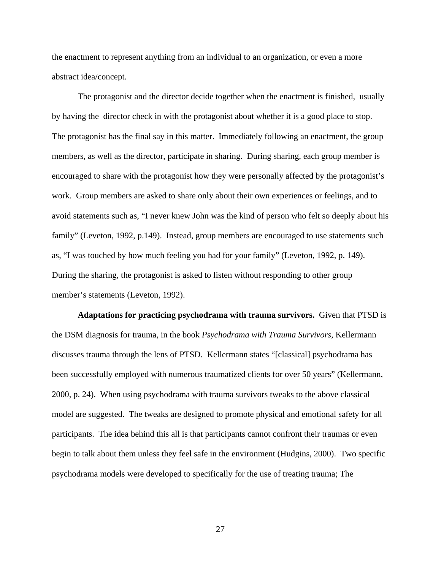the enactment to represent anything from an individual to an organization, or even a more abstract idea/concept.

 The protagonist and the director decide together when the enactment is finished, usually by having the director check in with the protagonist about whether it is a good place to stop. The protagonist has the final say in this matter. Immediately following an enactment, the group members, as well as the director, participate in sharing. During sharing, each group member is encouraged to share with the protagonist how they were personally affected by the protagonist's work. Group members are asked to share only about their own experiences or feelings, and to avoid statements such as, "I never knew John was the kind of person who felt so deeply about his family" (Leveton, 1992, p.149). Instead, group members are encouraged to use statements such as, "I was touched by how much feeling you had for your family" (Leveton, 1992, p. 149). During the sharing, the protagonist is asked to listen without responding to other group member's statements (Leveton, 1992).

 **Adaptations for practicing psychodrama with trauma survivors.** Given that PTSD is the DSM diagnosis for trauma, in the book *Psychodrama with Trauma Survivors,* Kellermann discusses trauma through the lens of PTSD. Kellermann states "[classical] psychodrama has been successfully employed with numerous traumatized clients for over 50 years" (Kellermann, 2000, p. 24). When using psychodrama with trauma survivors tweaks to the above classical model are suggested. The tweaks are designed to promote physical and emotional safety for all participants. The idea behind this all is that participants cannot confront their traumas or even begin to talk about them unless they feel safe in the environment (Hudgins, 2000). Two specific psychodrama models were developed to specifically for the use of treating trauma; The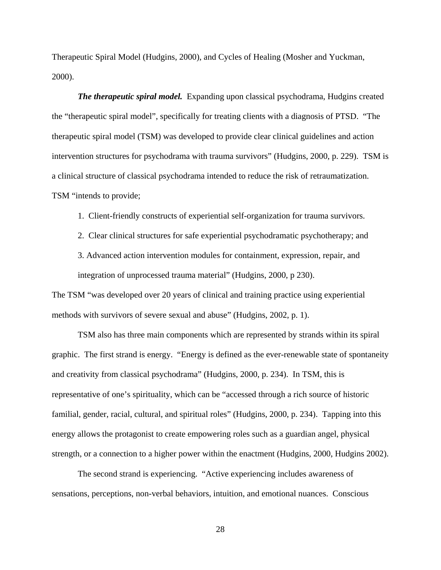Therapeutic Spiral Model (Hudgins, 2000), and Cycles of Healing (Mosher and Yuckman, 2000).

*The therapeutic spiral model.* Expanding upon classical psychodrama, Hudgins created the "therapeutic spiral model", specifically for treating clients with a diagnosis of PTSD. "The therapeutic spiral model (TSM) was developed to provide clear clinical guidelines and action intervention structures for psychodrama with trauma survivors" (Hudgins, 2000, p. 229). TSM is a clinical structure of classical psychodrama intended to reduce the risk of retraumatization. TSM "intends to provide;

1. Client-friendly constructs of experiential self-organization for trauma survivors.

2. Clear clinical structures for safe experiential psychodramatic psychotherapy; and

3. Advanced action intervention modules for containment, expression, repair, and integration of unprocessed trauma material" (Hudgins, 2000, p 230).

The TSM "was developed over 20 years of clinical and training practice using experiential methods with survivors of severe sexual and abuse" (Hudgins, 2002, p. 1).

 TSM also has three main components which are represented by strands within its spiral graphic. The first strand is energy. "Energy is defined as the ever-renewable state of spontaneity and creativity from classical psychodrama" (Hudgins, 2000, p. 234). In TSM, this is representative of one's spirituality, which can be "accessed through a rich source of historic familial, gender, racial, cultural, and spiritual roles" (Hudgins, 2000, p. 234). Tapping into this energy allows the protagonist to create empowering roles such as a guardian angel, physical strength, or a connection to a higher power within the enactment (Hudgins, 2000, Hudgins 2002).

 The second strand is experiencing. "Active experiencing includes awareness of sensations, perceptions, non-verbal behaviors, intuition, and emotional nuances. Conscious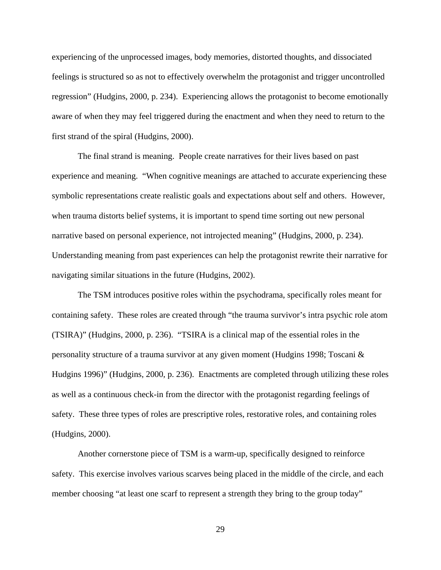experiencing of the unprocessed images, body memories, distorted thoughts, and dissociated feelings is structured so as not to effectively overwhelm the protagonist and trigger uncontrolled regression" (Hudgins, 2000, p. 234). Experiencing allows the protagonist to become emotionally aware of when they may feel triggered during the enactment and when they need to return to the first strand of the spiral (Hudgins, 2000).

 The final strand is meaning. People create narratives for their lives based on past experience and meaning. "When cognitive meanings are attached to accurate experiencing these symbolic representations create realistic goals and expectations about self and others. However, when trauma distorts belief systems, it is important to spend time sorting out new personal narrative based on personal experience, not introjected meaning" (Hudgins, 2000, p. 234). Understanding meaning from past experiences can help the protagonist rewrite their narrative for navigating similar situations in the future (Hudgins, 2002).

 The TSM introduces positive roles within the psychodrama, specifically roles meant for containing safety. These roles are created through "the trauma survivor's intra psychic role atom (TSIRA)" (Hudgins, 2000, p. 236). "TSIRA is a clinical map of the essential roles in the personality structure of a trauma survivor at any given moment (Hudgins 1998; Toscani & Hudgins 1996)" (Hudgins, 2000, p. 236). Enactments are completed through utilizing these roles as well as a continuous check-in from the director with the protagonist regarding feelings of safety. These three types of roles are prescriptive roles, restorative roles, and containing roles (Hudgins, 2000).

 Another cornerstone piece of TSM is a warm-up, specifically designed to reinforce safety. This exercise involves various scarves being placed in the middle of the circle, and each member choosing "at least one scarf to represent a strength they bring to the group today"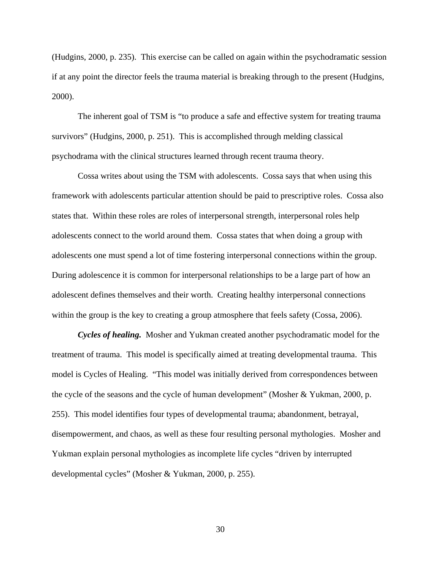(Hudgins, 2000, p. 235). This exercise can be called on again within the psychodramatic session if at any point the director feels the trauma material is breaking through to the present (Hudgins, 2000).

 The inherent goal of TSM is "to produce a safe and effective system for treating trauma survivors" (Hudgins, 2000, p. 251). This is accomplished through melding classical psychodrama with the clinical structures learned through recent trauma theory.

 Cossa writes about using the TSM with adolescents. Cossa says that when using this framework with adolescents particular attention should be paid to prescriptive roles. Cossa also states that. Within these roles are roles of interpersonal strength, interpersonal roles help adolescents connect to the world around them. Cossa states that when doing a group with adolescents one must spend a lot of time fostering interpersonal connections within the group. During adolescence it is common for interpersonal relationships to be a large part of how an adolescent defines themselves and their worth. Creating healthy interpersonal connections within the group is the key to creating a group atmosphere that feels safety (Cossa, 2006).

*Cycles of healing.*Mosher and Yukman created another psychodramatic model for the treatment of trauma. This model is specifically aimed at treating developmental trauma. This model is Cycles of Healing. "This model was initially derived from correspondences between the cycle of the seasons and the cycle of human development" (Mosher & Yukman, 2000, p. 255). This model identifies four types of developmental trauma; abandonment, betrayal, disempowerment, and chaos, as well as these four resulting personal mythologies. Mosher and Yukman explain personal mythologies as incomplete life cycles "driven by interrupted developmental cycles" (Mosher & Yukman, 2000, p. 255).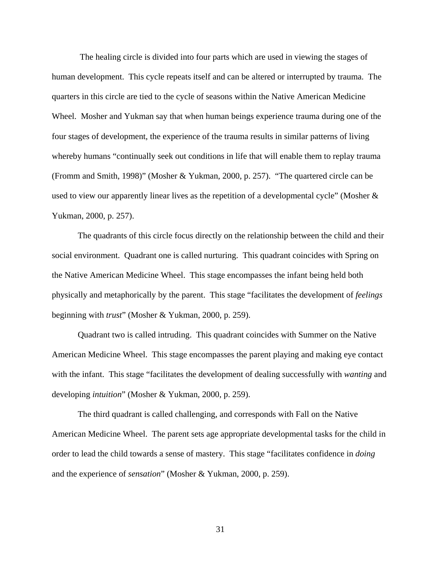The healing circle is divided into four parts which are used in viewing the stages of human development. This cycle repeats itself and can be altered or interrupted by trauma. The quarters in this circle are tied to the cycle of seasons within the Native American Medicine Wheel. Mosher and Yukman say that when human beings experience trauma during one of the four stages of development, the experience of the trauma results in similar patterns of living whereby humans "continually seek out conditions in life that will enable them to replay trauma (Fromm and Smith, 1998)" (Mosher & Yukman, 2000, p. 257). "The quartered circle can be used to view our apparently linear lives as the repetition of a developmental cycle" (Mosher & Yukman, 2000, p. 257).

 The quadrants of this circle focus directly on the relationship between the child and their social environment. Quadrant one is called nurturing. This quadrant coincides with Spring on the Native American Medicine Wheel. This stage encompasses the infant being held both physically and metaphorically by the parent. This stage "facilitates the development of *feelings* beginning with *trust*" (Mosher & Yukman, 2000, p. 259).

 Quadrant two is called intruding. This quadrant coincides with Summer on the Native American Medicine Wheel. This stage encompasses the parent playing and making eye contact with the infant. This stage "facilitates the development of dealing successfully with *wanting* and developing *intuition*" (Mosher & Yukman, 2000, p. 259).

 The third quadrant is called challenging, and corresponds with Fall on the Native American Medicine Wheel. The parent sets age appropriate developmental tasks for the child in order to lead the child towards a sense of mastery. This stage "facilitates confidence in *doing* and the experience of *sensation*" (Mosher & Yukman, 2000, p. 259).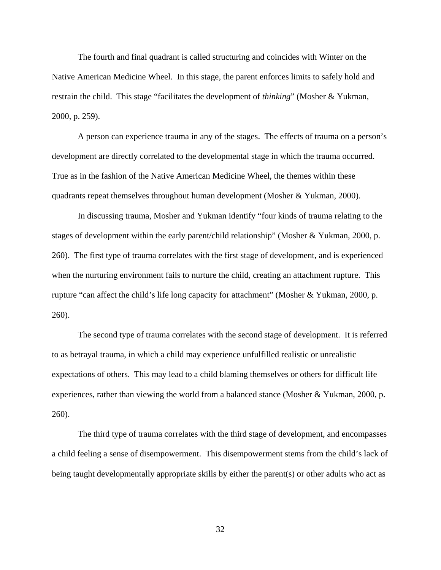The fourth and final quadrant is called structuring and coincides with Winter on the Native American Medicine Wheel. In this stage, the parent enforces limits to safely hold and restrain the child. This stage "facilitates the development of *thinking*" (Mosher & Yukman, 2000, p. 259).

 A person can experience trauma in any of the stages. The effects of trauma on a person's development are directly correlated to the developmental stage in which the trauma occurred. True as in the fashion of the Native American Medicine Wheel, the themes within these quadrants repeat themselves throughout human development (Mosher & Yukman, 2000).

 In discussing trauma, Mosher and Yukman identify "four kinds of trauma relating to the stages of development within the early parent/child relationship" (Mosher & Yukman, 2000, p. 260). The first type of trauma correlates with the first stage of development, and is experienced when the nurturing environment fails to nurture the child, creating an attachment rupture. This rupture "can affect the child's life long capacity for attachment" (Mosher & Yukman, 2000, p. 260).

 The second type of trauma correlates with the second stage of development. It is referred to as betrayal trauma, in which a child may experience unfulfilled realistic or unrealistic expectations of others. This may lead to a child blaming themselves or others for difficult life experiences, rather than viewing the world from a balanced stance (Mosher & Yukman, 2000, p. 260).

 The third type of trauma correlates with the third stage of development, and encompasses a child feeling a sense of disempowerment. This disempowerment stems from the child's lack of being taught developmentally appropriate skills by either the parent(s) or other adults who act as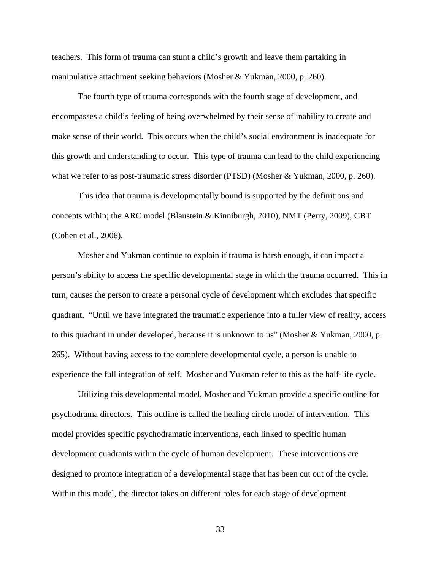teachers. This form of trauma can stunt a child's growth and leave them partaking in manipulative attachment seeking behaviors (Mosher & Yukman, 2000, p. 260).

 The fourth type of trauma corresponds with the fourth stage of development, and encompasses a child's feeling of being overwhelmed by their sense of inability to create and make sense of their world. This occurs when the child's social environment is inadequate for this growth and understanding to occur. This type of trauma can lead to the child experiencing what we refer to as post-traumatic stress disorder (PTSD) (Mosher & Yukman, 2000, p. 260).

 This idea that trauma is developmentally bound is supported by the definitions and concepts within; the ARC model (Blaustein & Kinniburgh, 2010), NMT (Perry, 2009), CBT (Cohen et al., 2006).

 Mosher and Yukman continue to explain if trauma is harsh enough, it can impact a person's ability to access the specific developmental stage in which the trauma occurred. This in turn, causes the person to create a personal cycle of development which excludes that specific quadrant. "Until we have integrated the traumatic experience into a fuller view of reality, access to this quadrant in under developed, because it is unknown to us" (Mosher & Yukman, 2000, p. 265). Without having access to the complete developmental cycle, a person is unable to experience the full integration of self. Mosher and Yukman refer to this as the half-life cycle.

 Utilizing this developmental model, Mosher and Yukman provide a specific outline for psychodrama directors. This outline is called the healing circle model of intervention. This model provides specific psychodramatic interventions, each linked to specific human development quadrants within the cycle of human development. These interventions are designed to promote integration of a developmental stage that has been cut out of the cycle. Within this model, the director takes on different roles for each stage of development.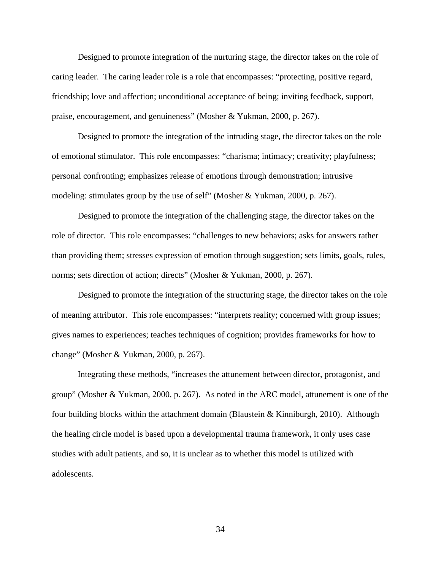Designed to promote integration of the nurturing stage, the director takes on the role of caring leader. The caring leader role is a role that encompasses: "protecting, positive regard, friendship; love and affection; unconditional acceptance of being; inviting feedback, support, praise, encouragement, and genuineness" (Mosher & Yukman, 2000, p. 267).

 Designed to promote the integration of the intruding stage, the director takes on the role of emotional stimulator. This role encompasses: "charisma; intimacy; creativity; playfulness; personal confronting; emphasizes release of emotions through demonstration; intrusive modeling: stimulates group by the use of self" (Mosher & Yukman, 2000, p. 267).

 Designed to promote the integration of the challenging stage, the director takes on the role of director. This role encompasses: "challenges to new behaviors; asks for answers rather than providing them; stresses expression of emotion through suggestion; sets limits, goals, rules, norms; sets direction of action; directs" (Mosher & Yukman, 2000, p. 267).

 Designed to promote the integration of the structuring stage, the director takes on the role of meaning attributor. This role encompasses: "interprets reality; concerned with group issues; gives names to experiences; teaches techniques of cognition; provides frameworks for how to change" (Mosher & Yukman, 2000, p. 267).

 Integrating these methods, "increases the attunement between director, protagonist, and group" (Mosher & Yukman, 2000, p. 267). As noted in the ARC model, attunement is one of the four building blocks within the attachment domain (Blaustein & Kinniburgh, 2010). Although the healing circle model is based upon a developmental trauma framework, it only uses case studies with adult patients, and so, it is unclear as to whether this model is utilized with adolescents.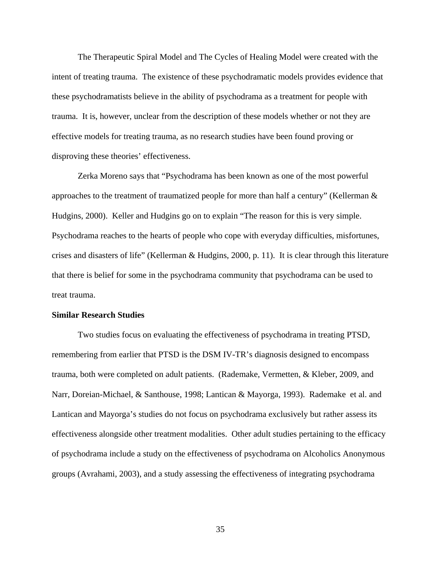The Therapeutic Spiral Model and The Cycles of Healing Model were created with the intent of treating trauma. The existence of these psychodramatic models provides evidence that these psychodramatists believe in the ability of psychodrama as a treatment for people with trauma. It is, however, unclear from the description of these models whether or not they are effective models for treating trauma, as no research studies have been found proving or disproving these theories' effectiveness.

 Zerka Moreno says that "Psychodrama has been known as one of the most powerful approaches to the treatment of traumatized people for more than half a century" (Kellerman  $\&$ Hudgins, 2000). Keller and Hudgins go on to explain "The reason for this is very simple. Psychodrama reaches to the hearts of people who cope with everyday difficulties, misfortunes, crises and disasters of life" (Kellerman & Hudgins, 2000, p. 11). It is clear through this literature that there is belief for some in the psychodrama community that psychodrama can be used to treat trauma.

## **Similar Research Studies**

Two studies focus on evaluating the effectiveness of psychodrama in treating PTSD, remembering from earlier that PTSD is the DSM IV-TR's diagnosis designed to encompass trauma, both were completed on adult patients. (Rademake, Vermetten, & Kleber, 2009, and Narr, Doreian-Michael, & Santhouse, 1998; Lantican & Mayorga, 1993). Rademake et al. and Lantican and Mayorga's studies do not focus on psychodrama exclusively but rather assess its effectiveness alongside other treatment modalities. Other adult studies pertaining to the efficacy of psychodrama include a study on the effectiveness of psychodrama on Alcoholics Anonymous groups (Avrahami, 2003), and a study assessing the effectiveness of integrating psychodrama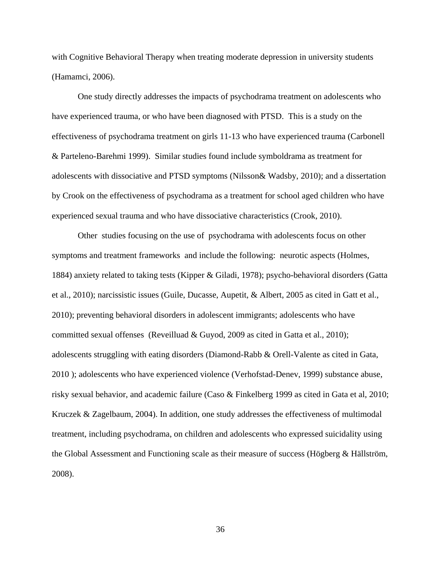with Cognitive Behavioral Therapy when treating moderate depression in university students (Hamamci, 2006).

 One study directly addresses the impacts of psychodrama treatment on adolescents who have experienced trauma, or who have been diagnosed with PTSD. This is a study on the effectiveness of psychodrama treatment on girls 11-13 who have experienced trauma (Carbonell & Parteleno-Barehmi 1999). Similar studies found include symboldrama as treatment for adolescents with dissociative and PTSD symptoms (Nilsson& Wadsby, 2010); and a dissertation by Crook on the effectiveness of psychodrama as a treatment for school aged children who have experienced sexual trauma and who have dissociative characteristics (Crook, 2010).

 Other studies focusing on the use of psychodrama with adolescents focus on other symptoms and treatment frameworks and include the following: neurotic aspects (Holmes, 1884) anxiety related to taking tests (Kipper & Giladi, 1978); psycho-behavioral disorders (Gatta et al., 2010); narcissistic issues (Guile, Ducasse, Aupetit, & Albert, 2005 as cited in Gatt et al., 2010); preventing behavioral disorders in adolescent immigrants; adolescents who have committed sexual offenses (Reveilluad & Guyod, 2009 as cited in Gatta et al., 2010); adolescents struggling with eating disorders (Diamond-Rabb & Orell-Valente as cited in Gata, 2010 ); adolescents who have experienced violence (Verhofstad-Denev, 1999) substance abuse, risky sexual behavior, and academic failure (Caso & Finkelberg 1999 as cited in Gata et al, 2010; Kruczek & Zagelbaum, 2004). In addition, one study addresses the effectiveness of multimodal treatment, including psychodrama, on children and adolescents who expressed suicidality using the Global Assessment and Functioning scale as their measure of success (Högberg & Hällström, 2008).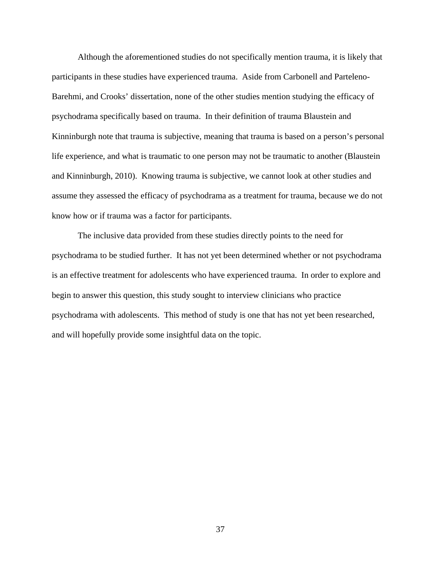Although the aforementioned studies do not specifically mention trauma, it is likely that participants in these studies have experienced trauma. Aside from Carbonell and Parteleno-Barehmi, and Crooks' dissertation, none of the other studies mention studying the efficacy of psychodrama specifically based on trauma. In their definition of trauma Blaustein and Kinninburgh note that trauma is subjective, meaning that trauma is based on a person's personal life experience, and what is traumatic to one person may not be traumatic to another (Blaustein and Kinninburgh, 2010). Knowing trauma is subjective, we cannot look at other studies and assume they assessed the efficacy of psychodrama as a treatment for trauma, because we do not know how or if trauma was a factor for participants.

The inclusive data provided from these studies directly points to the need for psychodrama to be studied further. It has not yet been determined whether or not psychodrama is an effective treatment for adolescents who have experienced trauma. In order to explore and begin to answer this question, this study sought to interview clinicians who practice psychodrama with adolescents. This method of study is one that has not yet been researched, and will hopefully provide some insightful data on the topic.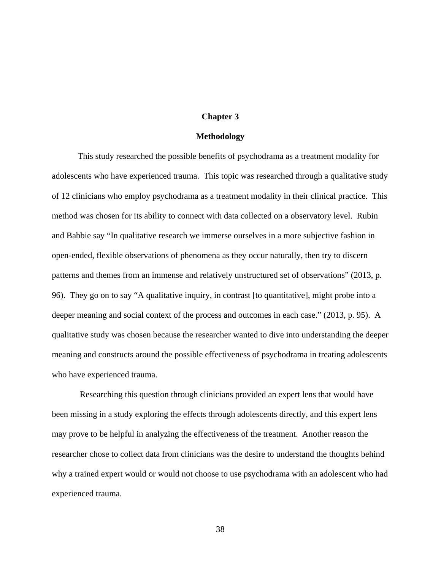# **Chapter 3**

# **Methodology**

 This study researched the possible benefits of psychodrama as a treatment modality for adolescents who have experienced trauma. This topic was researched through a qualitative study of 12 clinicians who employ psychodrama as a treatment modality in their clinical practice. This method was chosen for its ability to connect with data collected on a observatory level. Rubin and Babbie say "In qualitative research we immerse ourselves in a more subjective fashion in open-ended, flexible observations of phenomena as they occur naturally, then try to discern patterns and themes from an immense and relatively unstructured set of observations" (2013, p. 96). They go on to say "A qualitative inquiry, in contrast [to quantitative], might probe into a deeper meaning and social context of the process and outcomes in each case." (2013, p. 95). A qualitative study was chosen because the researcher wanted to dive into understanding the deeper meaning and constructs around the possible effectiveness of psychodrama in treating adolescents who have experienced trauma.

 Researching this question through clinicians provided an expert lens that would have been missing in a study exploring the effects through adolescents directly, and this expert lens may prove to be helpful in analyzing the effectiveness of the treatment. Another reason the researcher chose to collect data from clinicians was the desire to understand the thoughts behind why a trained expert would or would not choose to use psychodrama with an adolescent who had experienced trauma.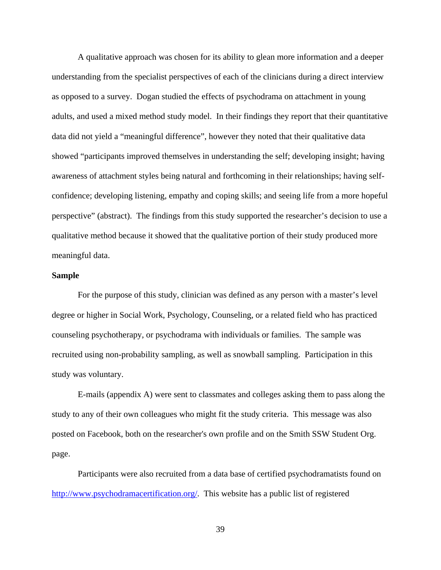A qualitative approach was chosen for its ability to glean more information and a deeper understanding from the specialist perspectives of each of the clinicians during a direct interview as opposed to a survey. Dogan studied the effects of psychodrama on attachment in young adults, and used a mixed method study model. In their findings they report that their quantitative data did not yield a "meaningful difference", however they noted that their qualitative data showed "participants improved themselves in understanding the self; developing insight; having awareness of attachment styles being natural and forthcoming in their relationships; having selfconfidence; developing listening, empathy and coping skills; and seeing life from a more hopeful perspective" (abstract). The findings from this study supported the researcher's decision to use a qualitative method because it showed that the qualitative portion of their study produced more meaningful data.

# **Sample**

 For the purpose of this study, clinician was defined as any person with a master's level degree or higher in Social Work, Psychology, Counseling, or a related field who has practiced counseling psychotherapy, or psychodrama with individuals or families. The sample was recruited using non-probability sampling, as well as snowball sampling. Participation in this study was voluntary.

 E-mails (appendix A) were sent to classmates and colleges asking them to pass along the study to any of their own colleagues who might fit the study criteria. This message was also posted on Facebook, both on the researcher's own profile and on the Smith SSW Student Org. page.

 Participants were also recruited from a data base of certified psychodramatists found on http://www.psychodramacertification.org/. This website has a public list of registered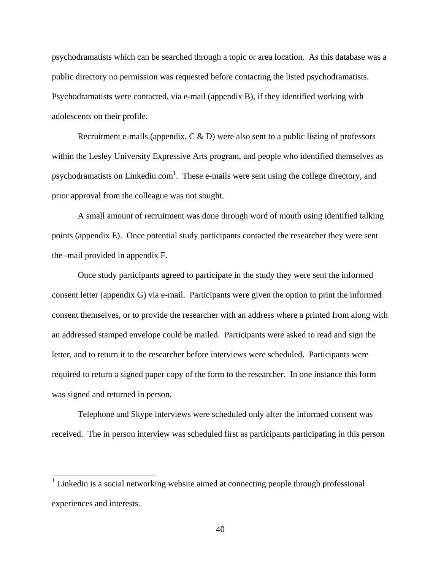psychodramatists which can be searched through a topic or area location. As this database was a public directory no permission was requested before contacting the listed psychodramatists. Psychodramatists were contacted, via e-mail (appendix B), if they identified working with adolescents on their profile.

Recruitment e-mails (appendix,  $C \& D$ ) were also sent to a public listing of professors within the Lesley University Expressive Arts program, and people who identified themselves as psychodramatists on Linkedin.com<sup>1</sup>. These e-mails were sent using the college directory, and prior approval from the colleague was not sought.

 A small amount of recruitment was done through word of mouth using identified talking points (appendix E). Once potential study participants contacted the researcher they were sent the -mail provided in appendix F.

 Once study participants agreed to participate in the study they were sent the informed consent letter (appendix G) via e-mail. Participants were given the option to print the informed consent themselves, or to provide the researcher with an address where a printed from along with an addressed stamped envelope could be mailed. Participants were asked to read and sign the letter, and to return it to the researcher before interviews were scheduled. Participants were required to return a signed paper copy of the form to the researcher. In one instance this form was signed and returned in person.

 Telephone and Skype interviews were scheduled only after the informed consent was received. The in person interview was scheduled first as participants participating in this person

 $\overline{a}$ 

<sup>&</sup>lt;sup>1</sup> Linkedin is a social networking website aimed at connecting people through professional experiences and interests.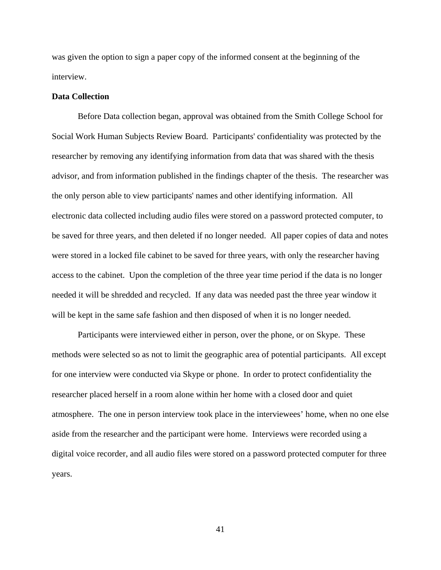was given the option to sign a paper copy of the informed consent at the beginning of the interview.

# **Data Collection**

 Before Data collection began, approval was obtained from the Smith College School for Social Work Human Subjects Review Board. Participants' confidentiality was protected by the researcher by removing any identifying information from data that was shared with the thesis advisor, and from information published in the findings chapter of the thesis. The researcher was the only person able to view participants' names and other identifying information. All electronic data collected including audio files were stored on a password protected computer, to be saved for three years, and then deleted if no longer needed. All paper copies of data and notes were stored in a locked file cabinet to be saved for three years, with only the researcher having access to the cabinet. Upon the completion of the three year time period if the data is no longer needed it will be shredded and recycled. If any data was needed past the three year window it will be kept in the same safe fashion and then disposed of when it is no longer needed.

 Participants were interviewed either in person, over the phone, or on Skype. These methods were selected so as not to limit the geographic area of potential participants. All except for one interview were conducted via Skype or phone. In order to protect confidentiality the researcher placed herself in a room alone within her home with a closed door and quiet atmosphere. The one in person interview took place in the interviewees' home, when no one else aside from the researcher and the participant were home. Interviews were recorded using a digital voice recorder, and all audio files were stored on a password protected computer for three years.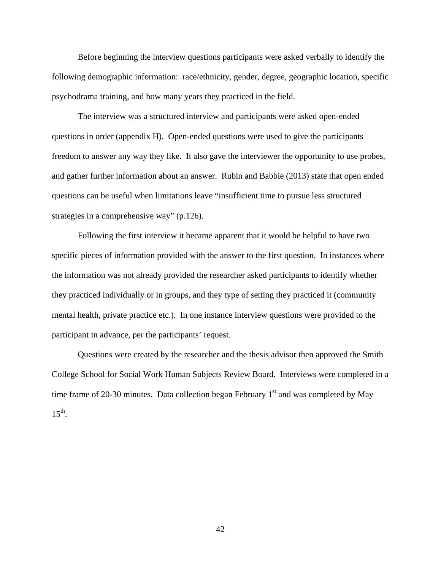Before beginning the interview questions participants were asked verbally to identify the following demographic information: race/ethnicity, gender, degree, geographic location, specific psychodrama training, and how many years they practiced in the field.

 The interview was a structured interview and participants were asked open-ended questions in order (appendix H). Open-ended questions were used to give the participants freedom to answer any way they like. It also gave the interviewer the opportunity to use probes, and gather further information about an answer. Rubin and Babbie (2013) state that open ended questions can be useful when limitations leave "insufficient time to pursue less structured strategies in a comprehensive way" (p.126).

 Following the first interview it became apparent that it would be helpful to have two specific pieces of information provided with the answer to the first question. In instances where the information was not already provided the researcher asked participants to identify whether they practiced individually or in groups, and they type of setting they practiced it (community mental health, private practice etc.). In one instance interview questions were provided to the participant in advance, per the participants' request.

 Questions were created by the researcher and the thesis advisor then approved the Smith College School for Social Work Human Subjects Review Board. Interviews were completed in a time frame of 20-30 minutes. Data collection began February  $1<sup>st</sup>$  and was completed by May  $15^{th}$ .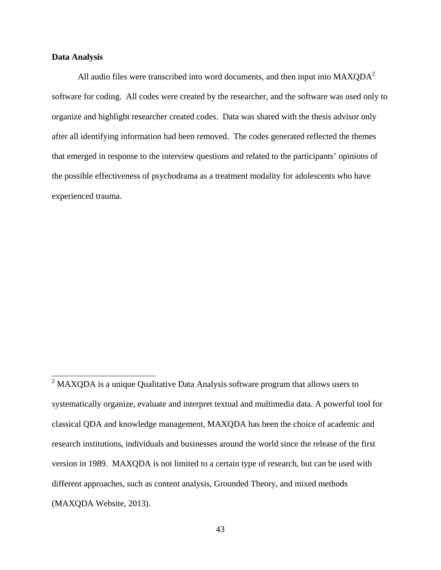# **Data Analysis**

All audio files were transcribed into word documents, and then input into  $MAXQDA<sup>2</sup>$ software for coding. All codes were created by the researcher, and the software was used only to organize and highlight researcher created codes. Data was shared with the thesis advisor only after all identifying information had been removed. The codes generated reflected the themes that emerged in response to the interview questions and related to the participants' opinions of the possible effectiveness of psychodrama as a treatment modality for adolescents who have experienced trauma.

<sup>&</sup>lt;sup>2</sup> MAXQDA is a unique Qualitative Data Analysis software program that allows users to systematically organize, evaluate and interpret textual and multimedia data. A powerful tool for classical QDA and knowledge management, MAXQDA has been the choice of academic and research institutions, individuals and businesses around the world since the release of the first version in 1989. MAXQDA is not limited to a certain type of research, but can be used with different approaches, such as content analysis, Grounded Theory, and mixed methods (MAXQDA Website, 2013).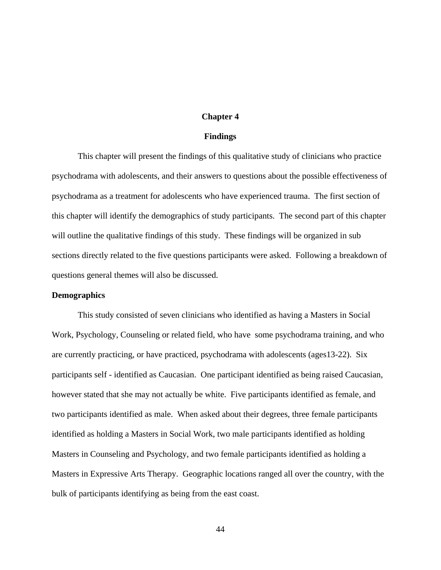# **Chapter 4**

# **Findings**

 This chapter will present the findings of this qualitative study of clinicians who practice psychodrama with adolescents, and their answers to questions about the possible effectiveness of psychodrama as a treatment for adolescents who have experienced trauma. The first section of this chapter will identify the demographics of study participants. The second part of this chapter will outline the qualitative findings of this study. These findings will be organized in sub sections directly related to the five questions participants were asked. Following a breakdown of questions general themes will also be discussed.

# **Demographics**

 This study consisted of seven clinicians who identified as having a Masters in Social Work, Psychology, Counseling or related field, who have some psychodrama training, and who are currently practicing, or have practiced, psychodrama with adolescents (ages13-22). Six participants self - identified as Caucasian. One participant identified as being raised Caucasian, however stated that she may not actually be white. Five participants identified as female, and two participants identified as male. When asked about their degrees, three female participants identified as holding a Masters in Social Work, two male participants identified as holding Masters in Counseling and Psychology, and two female participants identified as holding a Masters in Expressive Arts Therapy. Geographic locations ranged all over the country, with the bulk of participants identifying as being from the east coast.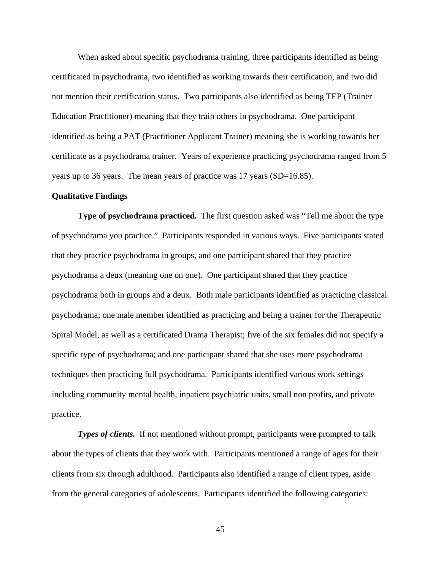When asked about specific psychodrama training, three participants identified as being certificated in psychodrama, two identified as working towards their certification, and two did not mention their certification status. Two participants also identified as being TEP (Trainer Education Practitioner) meaning that they train others in psychodrama. One participant identified as being a PAT (Practitioner Applicant Trainer) meaning she is working towards her certificate as a psychodrama trainer. Years of experience practicing psychodrama ranged from 5 years up to 36 years. The mean years of practice was 17 years (SD=16.85).

### **Qualitative Findings**

 **Type of psychodrama practiced.** The first question asked was "Tell me about the type of psychodrama you practice." Participants responded in various ways. Five participants stated that they practice psychodrama in groups, and one participant shared that they practice psychodrama a deux (meaning one on one). One participant shared that they practice psychodrama both in groups and a deux. Both male participants identified as practicing classical psychodrama; one male member identified as practicing and being a trainer for the Therapeutic Spiral Model, as well as a certificated Drama Therapist; five of the six females did not specify a specific type of psychodrama; and one participant shared that she uses more psychodrama techniques then practicing full psychodrama. Participants identified various work settings including community mental health, inpatient psychiatric units, small non profits, and private practice.

*Types of clients.* If not mentioned without prompt, participants were prompted to talk about the types of clients that they work with. Participants mentioned a range of ages for their clients from six through adulthood. Participants also identified a range of client types, aside from the general categories of adolescents. Participants identified the following categories: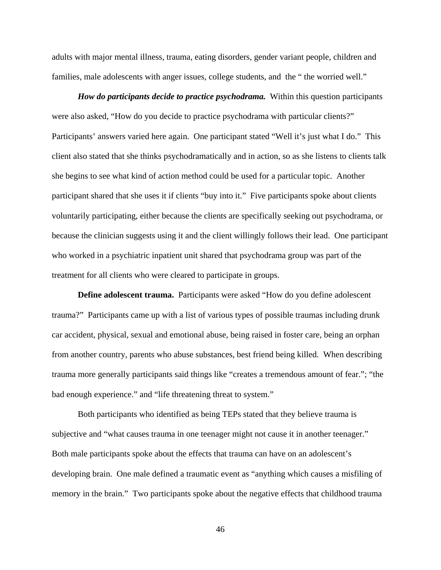adults with major mental illness, trauma, eating disorders, gender variant people, children and families, male adolescents with anger issues, college students, and the " the worried well."

*How do participants decide to practice psychodrama.* Within this question participants were also asked, "How do you decide to practice psychodrama with particular clients?" Participants' answers varied here again. One participant stated "Well it's just what I do." This client also stated that she thinks psychodramatically and in action, so as she listens to clients talk she begins to see what kind of action method could be used for a particular topic. Another participant shared that she uses it if clients "buy into it." Five participants spoke about clients voluntarily participating, either because the clients are specifically seeking out psychodrama, or because the clinician suggests using it and the client willingly follows their lead. One participant who worked in a psychiatric inpatient unit shared that psychodrama group was part of the treatment for all clients who were cleared to participate in groups.

**Define adolescent trauma.** Participants were asked "How do you define adolescent trauma?" Participants came up with a list of various types of possible traumas including drunk car accident, physical, sexual and emotional abuse, being raised in foster care, being an orphan from another country, parents who abuse substances, best friend being killed. When describing trauma more generally participants said things like "creates a tremendous amount of fear."; "the bad enough experience." and "life threatening threat to system."

 Both participants who identified as being TEPs stated that they believe trauma is subjective and "what causes trauma in one teenager might not cause it in another teenager." Both male participants spoke about the effects that trauma can have on an adolescent's developing brain. One male defined a traumatic event as "anything which causes a misfiling of memory in the brain." Two participants spoke about the negative effects that childhood trauma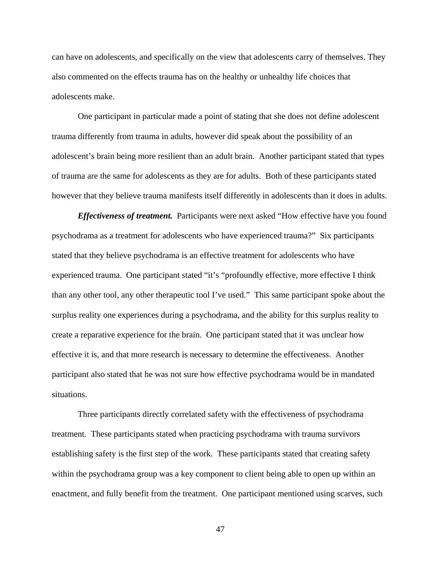can have on adolescents, and specifically on the view that adolescents carry of themselves. They also commented on the effects trauma has on the healthy or unhealthy life choices that adolescents make.

 One participant in particular made a point of stating that she does not define adolescent trauma differently from trauma in adults, however did speak about the possibility of an adolescent's brain being more resilient than an adult brain. Another participant stated that types of trauma are the same for adolescents as they are for adults. Both of these participants stated however that they believe trauma manifests itself differently in adolescents than it does in adults.

*Effectiveness of treatment.* Participants were next asked "How effective have you found psychodrama as a treatment for adolescents who have experienced trauma?" Six participants stated that they believe psychodrama is an effective treatment for adolescents who have experienced trauma. One participant stated "it's "profoundly effective, more effective I think than any other tool, any other therapeutic tool I've used." This same participant spoke about the surplus reality one experiences during a psychodrama, and the ability for this surplus reality to create a reparative experience for the brain. One participant stated that it was unclear how effective it is, and that more research is necessary to determine the effectiveness. Another participant also stated that he was not sure how effective psychodrama would be in mandated situations.

 Three participants directly correlated safety with the effectiveness of psychodrama treatment. These participants stated when practicing psychodrama with trauma survivors establishing safety is the first step of the work. These participants stated that creating safety within the psychodrama group was a key component to client being able to open up within an enactment, and fully benefit from the treatment. One participant mentioned using scarves, such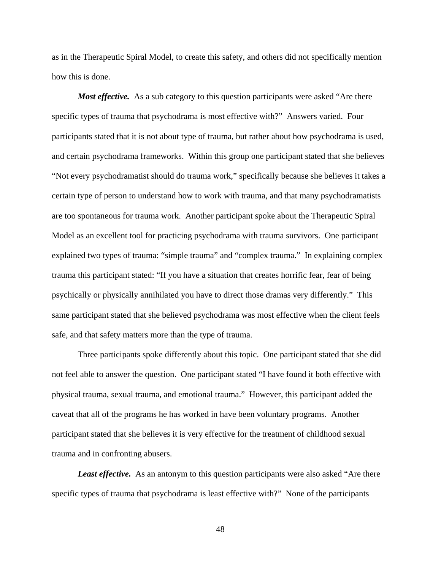as in the Therapeutic Spiral Model, to create this safety, and others did not specifically mention how this is done.

*Most effective.* As a sub category to this question participants were asked "Are there specific types of trauma that psychodrama is most effective with?" Answers varied. Four participants stated that it is not about type of trauma, but rather about how psychodrama is used, and certain psychodrama frameworks. Within this group one participant stated that she believes "Not every psychodramatist should do trauma work," specifically because she believes it takes a certain type of person to understand how to work with trauma, and that many psychodramatists are too spontaneous for trauma work. Another participant spoke about the Therapeutic Spiral Model as an excellent tool for practicing psychodrama with trauma survivors. One participant explained two types of trauma: "simple trauma" and "complex trauma." In explaining complex trauma this participant stated: "If you have a situation that creates horrific fear, fear of being psychically or physically annihilated you have to direct those dramas very differently." This same participant stated that she believed psychodrama was most effective when the client feels safe, and that safety matters more than the type of trauma.

 Three participants spoke differently about this topic. One participant stated that she did not feel able to answer the question. One participant stated "I have found it both effective with physical trauma, sexual trauma, and emotional trauma." However, this participant added the caveat that all of the programs he has worked in have been voluntary programs. Another participant stated that she believes it is very effective for the treatment of childhood sexual trauma and in confronting abusers.

*Least effective.* As an antonym to this question participants were also asked "Are there specific types of trauma that psychodrama is least effective with?" None of the participants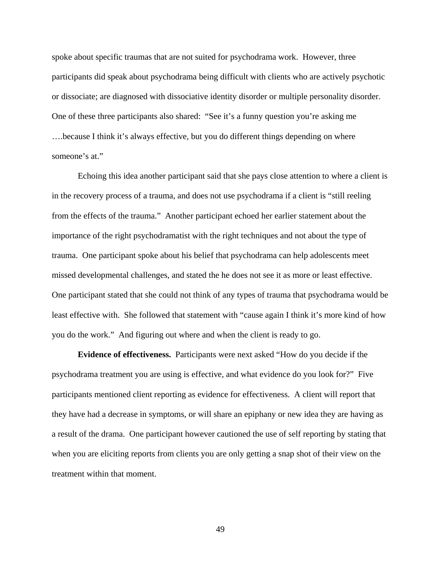spoke about specific traumas that are not suited for psychodrama work. However, three participants did speak about psychodrama being difficult with clients who are actively psychotic or dissociate; are diagnosed with dissociative identity disorder or multiple personality disorder. One of these three participants also shared: "See it's a funny question you're asking me ….because I think it's always effective, but you do different things depending on where someone's at."

 Echoing this idea another participant said that she pays close attention to where a client is in the recovery process of a trauma, and does not use psychodrama if a client is "still reeling from the effects of the trauma." Another participant echoed her earlier statement about the importance of the right psychodramatist with the right techniques and not about the type of trauma. One participant spoke about his belief that psychodrama can help adolescents meet missed developmental challenges, and stated the he does not see it as more or least effective. One participant stated that she could not think of any types of trauma that psychodrama would be least effective with. She followed that statement with "cause again I think it's more kind of how you do the work." And figuring out where and when the client is ready to go.

**Evidence of effectiveness.** Participants were next asked "How do you decide if the psychodrama treatment you are using is effective, and what evidence do you look for?" Five participants mentioned client reporting as evidence for effectiveness. A client will report that they have had a decrease in symptoms, or will share an epiphany or new idea they are having as a result of the drama. One participant however cautioned the use of self reporting by stating that when you are eliciting reports from clients you are only getting a snap shot of their view on the treatment within that moment.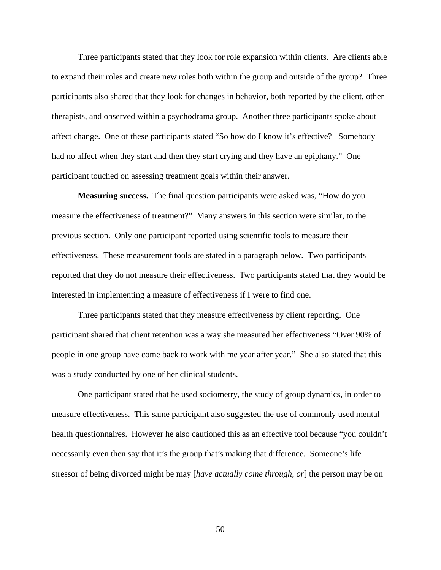Three participants stated that they look for role expansion within clients. Are clients able to expand their roles and create new roles both within the group and outside of the group? Three participants also shared that they look for changes in behavior, both reported by the client, other therapists, and observed within a psychodrama group. Another three participants spoke about affect change. One of these participants stated "So how do I know it's effective? Somebody had no affect when they start and then they start crying and they have an epiphany." One participant touched on assessing treatment goals within their answer.

**Measuring success.** The final question participants were asked was, "How do you measure the effectiveness of treatment?" Many answers in this section were similar, to the previous section. Only one participant reported using scientific tools to measure their effectiveness. These measurement tools are stated in a paragraph below. Two participants reported that they do not measure their effectiveness. Two participants stated that they would be interested in implementing a measure of effectiveness if I were to find one.

 Three participants stated that they measure effectiveness by client reporting. One participant shared that client retention was a way she measured her effectiveness "Over 90% of people in one group have come back to work with me year after year." She also stated that this was a study conducted by one of her clinical students.

 One participant stated that he used sociometry, the study of group dynamics, in order to measure effectiveness. This same participant also suggested the use of commonly used mental health questionnaires. However he also cautioned this as an effective tool because "you couldn't necessarily even then say that it's the group that's making that difference. Someone's life stressor of being divorced might be may [*have actually come through, or*] the person may be on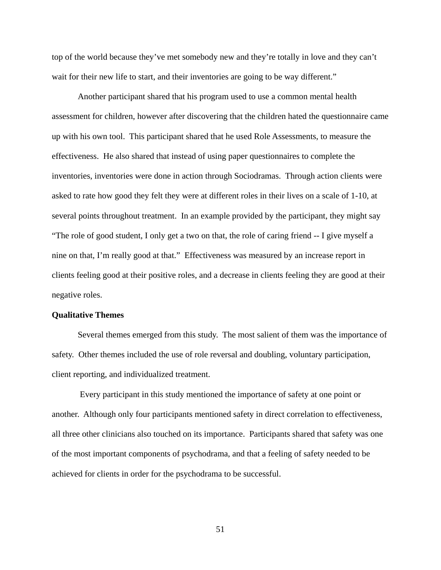top of the world because they've met somebody new and they're totally in love and they can't wait for their new life to start, and their inventories are going to be way different."

 Another participant shared that his program used to use a common mental health assessment for children, however after discovering that the children hated the questionnaire came up with his own tool. This participant shared that he used Role Assessments, to measure the effectiveness. He also shared that instead of using paper questionnaires to complete the inventories, inventories were done in action through Sociodramas. Through action clients were asked to rate how good they felt they were at different roles in their lives on a scale of 1-10, at several points throughout treatment. In an example provided by the participant, they might say "The role of good student, I only get a two on that, the role of caring friend -- I give myself a nine on that, I'm really good at that." Effectiveness was measured by an increase report in clients feeling good at their positive roles, and a decrease in clients feeling they are good at their negative roles.

# **Qualitative Themes**

Several themes emerged from this study. The most salient of them was the importance of safety. Other themes included the use of role reversal and doubling, voluntary participation, client reporting, and individualized treatment.

 Every participant in this study mentioned the importance of safety at one point or another. Although only four participants mentioned safety in direct correlation to effectiveness, all three other clinicians also touched on its importance. Participants shared that safety was one of the most important components of psychodrama, and that a feeling of safety needed to be achieved for clients in order for the psychodrama to be successful.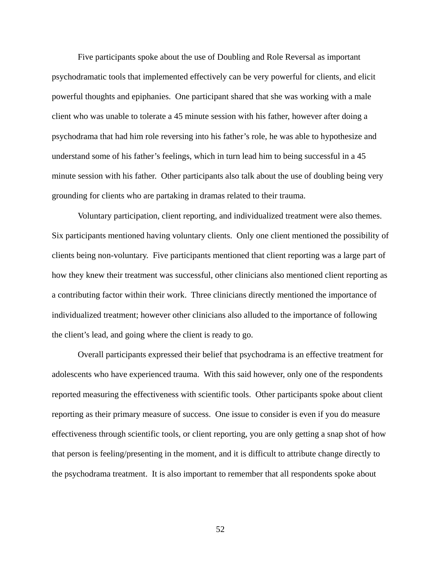Five participants spoke about the use of Doubling and Role Reversal as important psychodramatic tools that implemented effectively can be very powerful for clients, and elicit powerful thoughts and epiphanies. One participant shared that she was working with a male client who was unable to tolerate a 45 minute session with his father, however after doing a psychodrama that had him role reversing into his father's role, he was able to hypothesize and understand some of his father's feelings, which in turn lead him to being successful in a 45 minute session with his father. Other participants also talk about the use of doubling being very grounding for clients who are partaking in dramas related to their trauma.

 Voluntary participation, client reporting, and individualized treatment were also themes. Six participants mentioned having voluntary clients. Only one client mentioned the possibility of clients being non-voluntary. Five participants mentioned that client reporting was a large part of how they knew their treatment was successful, other clinicians also mentioned client reporting as a contributing factor within their work. Three clinicians directly mentioned the importance of individualized treatment; however other clinicians also alluded to the importance of following the client's lead, and going where the client is ready to go.

 Overall participants expressed their belief that psychodrama is an effective treatment for adolescents who have experienced trauma. With this said however, only one of the respondents reported measuring the effectiveness with scientific tools. Other participants spoke about client reporting as their primary measure of success. One issue to consider is even if you do measure effectiveness through scientific tools, or client reporting, you are only getting a snap shot of how that person is feeling/presenting in the moment, and it is difficult to attribute change directly to the psychodrama treatment. It is also important to remember that all respondents spoke about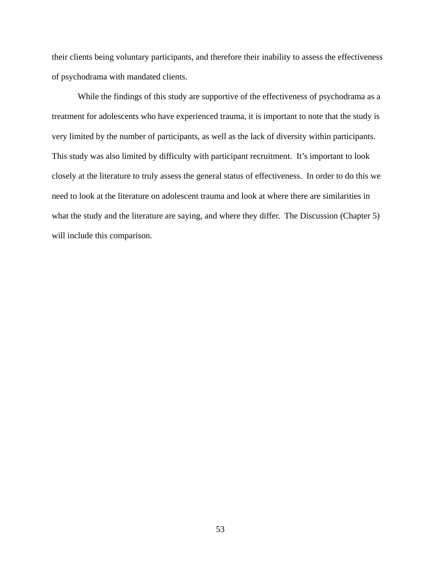their clients being voluntary participants, and therefore their inability to assess the effectiveness of psychodrama with mandated clients.

While the findings of this study are supportive of the effectiveness of psychodrama as a treatment for adolescents who have experienced trauma, it is important to note that the study is very limited by the number of participants, as well as the lack of diversity within participants. This study was also limited by difficulty with participant recruitment. It's important to look closely at the literature to truly assess the general status of effectiveness. In order to do this we need to look at the literature on adolescent trauma and look at where there are similarities in what the study and the literature are saying, and where they differ. The Discussion (Chapter 5) will include this comparison.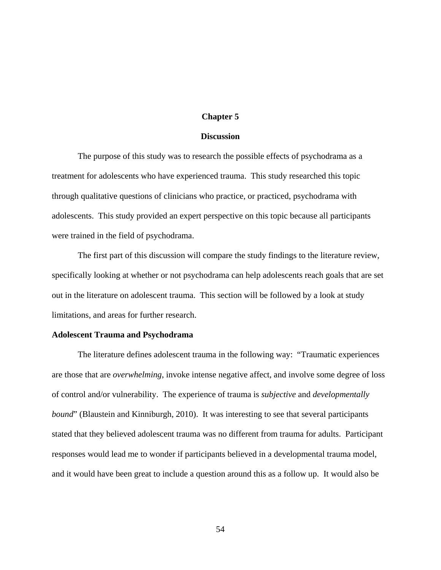# **Chapter 5**

### **Discussion**

 The purpose of this study was to research the possible effects of psychodrama as a treatment for adolescents who have experienced trauma. This study researched this topic through qualitative questions of clinicians who practice, or practiced, psychodrama with adolescents. This study provided an expert perspective on this topic because all participants were trained in the field of psychodrama.

 The first part of this discussion will compare the study findings to the literature review, specifically looking at whether or not psychodrama can help adolescents reach goals that are set out in the literature on adolescent trauma. This section will be followed by a look at study limitations, and areas for further research.

#### **Adolescent Trauma and Psychodrama**

The literature defines adolescent trauma in the following way: "Traumatic experiences are those that are *overwhelming*, invoke intense negative affect, and involve some degree of loss of control and/or vulnerability. The experience of trauma is *subjective* and *developmentally bound*" (Blaustein and Kinniburgh, 2010). It was interesting to see that several participants stated that they believed adolescent trauma was no different from trauma for adults. Participant responses would lead me to wonder if participants believed in a developmental trauma model, and it would have been great to include a question around this as a follow up. It would also be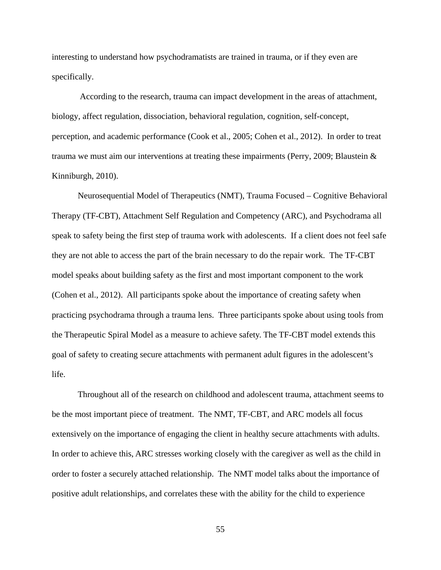interesting to understand how psychodramatists are trained in trauma, or if they even are specifically.

According to the research, trauma can impact development in the areas of attachment, biology, affect regulation, dissociation, behavioral regulation, cognition, self-concept, perception, and academic performance (Cook et al., 2005; Cohen et al., 2012). In order to treat trauma we must aim our interventions at treating these impairments (Perry, 2009; Blaustein & Kinniburgh, 2010).

 Neurosequential Model of Therapeutics (NMT), Trauma Focused – Cognitive Behavioral Therapy (TF-CBT), Attachment Self Regulation and Competency (ARC), and Psychodrama all speak to safety being the first step of trauma work with adolescents. If a client does not feel safe they are not able to access the part of the brain necessary to do the repair work. The TF-CBT model speaks about building safety as the first and most important component to the work (Cohen et al., 2012). All participants spoke about the importance of creating safety when practicing psychodrama through a trauma lens. Three participants spoke about using tools from the Therapeutic Spiral Model as a measure to achieve safety. The TF-CBT model extends this goal of safety to creating secure attachments with permanent adult figures in the adolescent's life.

 Throughout all of the research on childhood and adolescent trauma, attachment seems to be the most important piece of treatment. The NMT, TF-CBT, and ARC models all focus extensively on the importance of engaging the client in healthy secure attachments with adults. In order to achieve this, ARC stresses working closely with the caregiver as well as the child in order to foster a securely attached relationship. The NMT model talks about the importance of positive adult relationships, and correlates these with the ability for the child to experience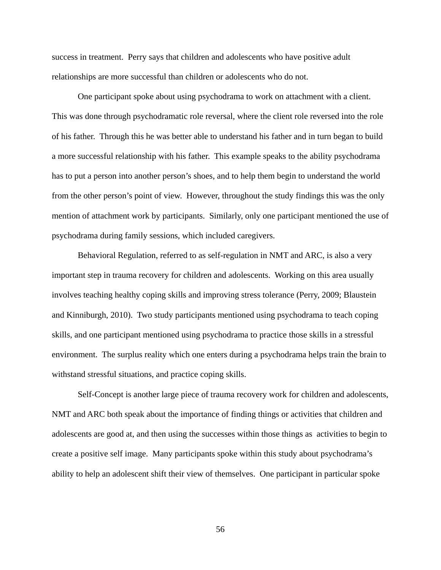success in treatment. Perry says that children and adolescents who have positive adult relationships are more successful than children or adolescents who do not.

 One participant spoke about using psychodrama to work on attachment with a client. This was done through psychodramatic role reversal, where the client role reversed into the role of his father. Through this he was better able to understand his father and in turn began to build a more successful relationship with his father. This example speaks to the ability psychodrama has to put a person into another person's shoes, and to help them begin to understand the world from the other person's point of view. However, throughout the study findings this was the only mention of attachment work by participants. Similarly, only one participant mentioned the use of psychodrama during family sessions, which included caregivers.

 Behavioral Regulation, referred to as self-regulation in NMT and ARC, is also a very important step in trauma recovery for children and adolescents. Working on this area usually involves teaching healthy coping skills and improving stress tolerance (Perry, 2009; Blaustein and Kinniburgh, 2010). Two study participants mentioned using psychodrama to teach coping skills, and one participant mentioned using psychodrama to practice those skills in a stressful environment. The surplus reality which one enters during a psychodrama helps train the brain to withstand stressful situations, and practice coping skills.

 Self-Concept is another large piece of trauma recovery work for children and adolescents, NMT and ARC both speak about the importance of finding things or activities that children and adolescents are good at, and then using the successes within those things as activities to begin to create a positive self image. Many participants spoke within this study about psychodrama's ability to help an adolescent shift their view of themselves. One participant in particular spoke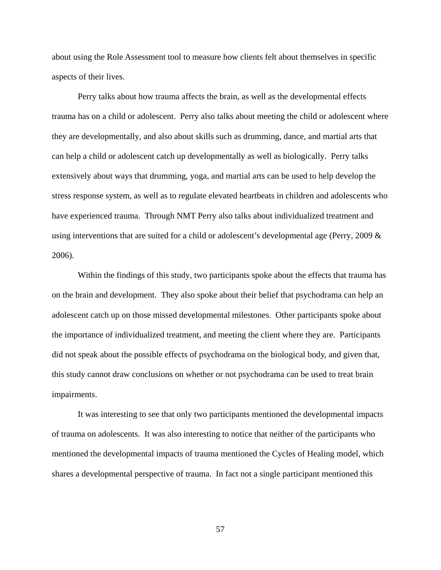about using the Role Assessment tool to measure how clients felt about themselves in specific aspects of their lives.

 Perry talks about how trauma affects the brain, as well as the developmental effects trauma has on a child or adolescent. Perry also talks about meeting the child or adolescent where they are developmentally, and also about skills such as drumming, dance, and martial arts that can help a child or adolescent catch up developmentally as well as biologically. Perry talks extensively about ways that drumming, yoga, and martial arts can be used to help develop the stress response system, as well as to regulate elevated heartbeats in children and adolescents who have experienced trauma. Through NMT Perry also talks about individualized treatment and using interventions that are suited for a child or adolescent's developmental age (Perry, 2009 & 2006).

 Within the findings of this study, two participants spoke about the effects that trauma has on the brain and development. They also spoke about their belief that psychodrama can help an adolescent catch up on those missed developmental milestones. Other participants spoke about the importance of individualized treatment, and meeting the client where they are. Participants did not speak about the possible effects of psychodrama on the biological body, and given that, this study cannot draw conclusions on whether or not psychodrama can be used to treat brain impairments.

 It was interesting to see that only two participants mentioned the developmental impacts of trauma on adolescents. It was also interesting to notice that neither of the participants who mentioned the developmental impacts of trauma mentioned the Cycles of Healing model, which shares a developmental perspective of trauma. In fact not a single participant mentioned this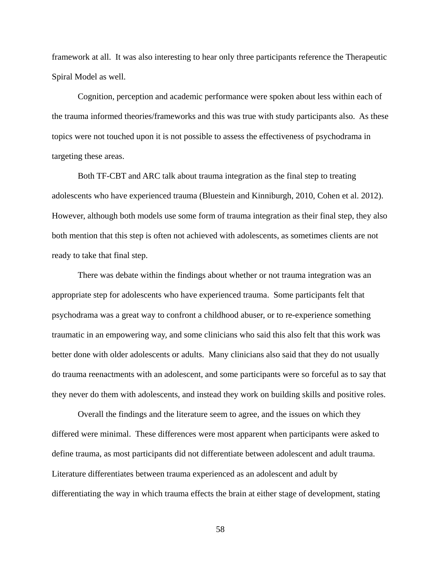framework at all. It was also interesting to hear only three participants reference the Therapeutic Spiral Model as well.

 Cognition, perception and academic performance were spoken about less within each of the trauma informed theories/frameworks and this was true with study participants also. As these topics were not touched upon it is not possible to assess the effectiveness of psychodrama in targeting these areas.

 Both TF-CBT and ARC talk about trauma integration as the final step to treating adolescents who have experienced trauma (Bluestein and Kinniburgh, 2010, Cohen et al. 2012). However, although both models use some form of trauma integration as their final step, they also both mention that this step is often not achieved with adolescents, as sometimes clients are not ready to take that final step.

 There was debate within the findings about whether or not trauma integration was an appropriate step for adolescents who have experienced trauma. Some participants felt that psychodrama was a great way to confront a childhood abuser, or to re-experience something traumatic in an empowering way, and some clinicians who said this also felt that this work was better done with older adolescents or adults. Many clinicians also said that they do not usually do trauma reenactments with an adolescent, and some participants were so forceful as to say that they never do them with adolescents, and instead they work on building skills and positive roles.

 Overall the findings and the literature seem to agree, and the issues on which they differed were minimal. These differences were most apparent when participants were asked to define trauma, as most participants did not differentiate between adolescent and adult trauma. Literature differentiates between trauma experienced as an adolescent and adult by differentiating the way in which trauma effects the brain at either stage of development, stating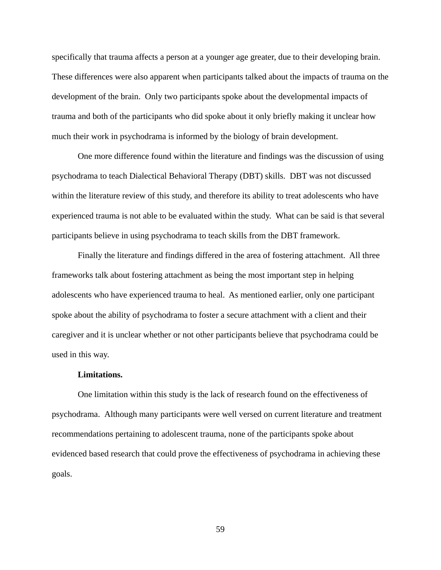specifically that trauma affects a person at a younger age greater, due to their developing brain. These differences were also apparent when participants talked about the impacts of trauma on the development of the brain. Only two participants spoke about the developmental impacts of trauma and both of the participants who did spoke about it only briefly making it unclear how much their work in psychodrama is informed by the biology of brain development.

 One more difference found within the literature and findings was the discussion of using psychodrama to teach Dialectical Behavioral Therapy (DBT) skills. DBT was not discussed within the literature review of this study, and therefore its ability to treat adolescents who have experienced trauma is not able to be evaluated within the study. What can be said is that several participants believe in using psychodrama to teach skills from the DBT framework.

 Finally the literature and findings differed in the area of fostering attachment. All three frameworks talk about fostering attachment as being the most important step in helping adolescents who have experienced trauma to heal. As mentioned earlier, only one participant spoke about the ability of psychodrama to foster a secure attachment with a client and their caregiver and it is unclear whether or not other participants believe that psychodrama could be used in this way.

#### **Limitations.**

 One limitation within this study is the lack of research found on the effectiveness of psychodrama. Although many participants were well versed on current literature and treatment recommendations pertaining to adolescent trauma, none of the participants spoke about evidenced based research that could prove the effectiveness of psychodrama in achieving these goals.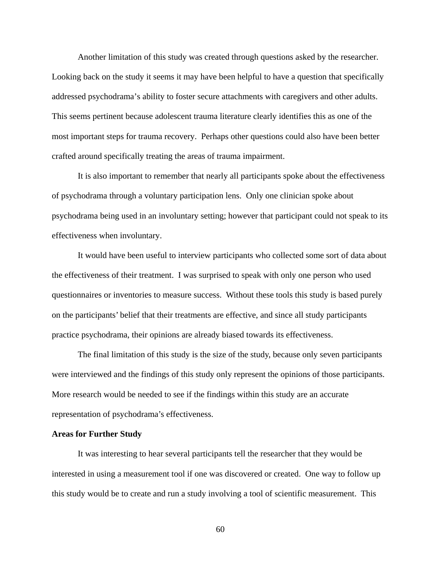Another limitation of this study was created through questions asked by the researcher. Looking back on the study it seems it may have been helpful to have a question that specifically addressed psychodrama's ability to foster secure attachments with caregivers and other adults. This seems pertinent because adolescent trauma literature clearly identifies this as one of the most important steps for trauma recovery. Perhaps other questions could also have been better crafted around specifically treating the areas of trauma impairment.

 It is also important to remember that nearly all participants spoke about the effectiveness of psychodrama through a voluntary participation lens. Only one clinician spoke about psychodrama being used in an involuntary setting; however that participant could not speak to its effectiveness when involuntary.

 It would have been useful to interview participants who collected some sort of data about the effectiveness of their treatment. I was surprised to speak with only one person who used questionnaires or inventories to measure success. Without these tools this study is based purely on the participants' belief that their treatments are effective, and since all study participants practice psychodrama, their opinions are already biased towards its effectiveness.

 The final limitation of this study is the size of the study, because only seven participants were interviewed and the findings of this study only represent the opinions of those participants. More research would be needed to see if the findings within this study are an accurate representation of psychodrama's effectiveness.

#### **Areas for Further Study**

 It was interesting to hear several participants tell the researcher that they would be interested in using a measurement tool if one was discovered or created. One way to follow up this study would be to create and run a study involving a tool of scientific measurement. This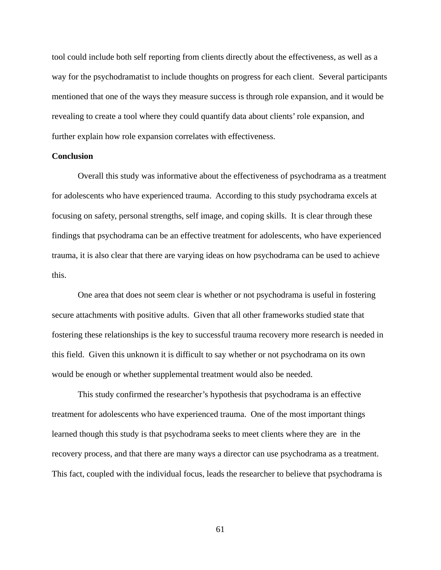tool could include both self reporting from clients directly about the effectiveness, as well as a way for the psychodramatist to include thoughts on progress for each client. Several participants mentioned that one of the ways they measure success is through role expansion, and it would be revealing to create a tool where they could quantify data about clients' role expansion, and further explain how role expansion correlates with effectiveness.

# **Conclusion**

 Overall this study was informative about the effectiveness of psychodrama as a treatment for adolescents who have experienced trauma. According to this study psychodrama excels at focusing on safety, personal strengths, self image, and coping skills. It is clear through these findings that psychodrama can be an effective treatment for adolescents, who have experienced trauma, it is also clear that there are varying ideas on how psychodrama can be used to achieve this.

 One area that does not seem clear is whether or not psychodrama is useful in fostering secure attachments with positive adults. Given that all other frameworks studied state that fostering these relationships is the key to successful trauma recovery more research is needed in this field. Given this unknown it is difficult to say whether or not psychodrama on its own would be enough or whether supplemental treatment would also be needed.

 This study confirmed the researcher's hypothesis that psychodrama is an effective treatment for adolescents who have experienced trauma. One of the most important things learned though this study is that psychodrama seeks to meet clients where they are in the recovery process, and that there are many ways a director can use psychodrama as a treatment. This fact, coupled with the individual focus, leads the researcher to believe that psychodrama is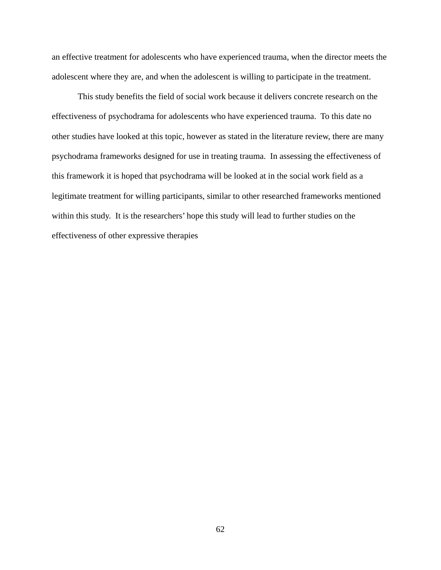an effective treatment for adolescents who have experienced trauma, when the director meets the adolescent where they are, and when the adolescent is willing to participate in the treatment.

This study benefits the field of social work because it delivers concrete research on the effectiveness of psychodrama for adolescents who have experienced trauma. To this date no other studies have looked at this topic, however as stated in the literature review, there are many psychodrama frameworks designed for use in treating trauma. In assessing the effectiveness of this framework it is hoped that psychodrama will be looked at in the social work field as a legitimate treatment for willing participants, similar to other researched frameworks mentioned within this study. It is the researchers' hope this study will lead to further studies on the effectiveness of other expressive therapies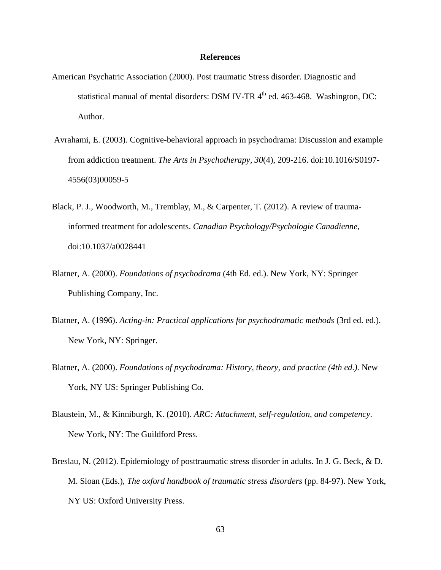### **References**

- American Psychatric Association (2000). Post traumatic Stress disorder. Diagnostic and statistical manual of mental disorders: DSM IV-TR  $4<sup>th</sup>$  ed. 463-468. Washington, DC: Author.
- Avrahami, E. (2003). Cognitive-behavioral approach in psychodrama: Discussion and example from addiction treatment. *The Arts in Psychotherapy, 30*(4), 209-216. doi:10.1016/S0197- 4556(03)00059-5
- Black, P. J., Woodworth, M., Tremblay, M., & Carpenter, T. (2012). A review of traumainformed treatment for adolescents. *Canadian Psychology/Psychologie Canadienne,*  doi:10.1037/a0028441
- Blatner, A. (2000). *Foundations of psychodrama* (4th Ed. ed.). New York, NY: Springer Publishing Company, Inc.
- Blatner, A. (1996). *Acting-in: Practical applications for psychodramatic methods* (3rd ed. ed.). New York, NY: Springer.
- Blatner, A. (2000). *Foundations of psychodrama: History, theory, and practice (4th ed.)*. New York, NY US: Springer Publishing Co.
- Blaustein, M., & Kinniburgh, K. (2010). *ARC: Attachment, self-regulation, and competency*. New York, NY: The Guildford Press.
- Breslau, N. (2012). Epidemiology of posttraumatic stress disorder in adults. In J. G. Beck, & D. M. Sloan (Eds.), *The oxford handbook of traumatic stress disorders* (pp. 84-97). New York, NY US: Oxford University Press.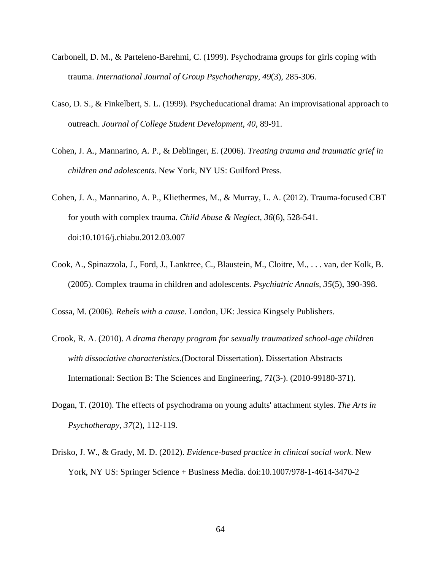- Carbonell, D. M., & Parteleno-Barehmi, C. (1999). Psychodrama groups for girls coping with trauma. *International Journal of Group Psychotherapy, 49*(3), 285-306.
- Caso, D. S., & Finkelbert, S. L. (1999). Psycheducational drama: An improvisational approach to outreach. *Journal of College Student Development, 40*, 89-91.
- Cohen, J. A., Mannarino, A. P., & Deblinger, E. (2006). *Treating trauma and traumatic grief in children and adolescents*. New York, NY US: Guilford Press.
- Cohen, J. A., Mannarino, A. P., Kliethermes, M., & Murray, L. A. (2012). Trauma-focused CBT for youth with complex trauma. *Child Abuse & Neglect, 36*(6), 528-541. doi:10.1016/j.chiabu.2012.03.007
- Cook, A., Spinazzola, J., Ford, J., Lanktree, C., Blaustein, M., Cloitre, M., . . . van, der Kolk, B. (2005). Complex trauma in children and adolescents. *Psychiatric Annals, 35*(5), 390-398.

Cossa, M. (2006). *Rebels with a cause*. London, UK: Jessica Kingsely Publishers.

- Crook, R. A. (2010). *A drama therapy program for sexually traumatized school-age children with dissociative characteristics*.(Doctoral Dissertation). Dissertation Abstracts International: Section B: The Sciences and Engineering, *71*(3-). (2010-99180-371).
- Dogan, T. (2010). The effects of psychodrama on young adults' attachment styles. *The Arts in Psychotherapy, 37*(2), 112-119.
- Drisko, J. W., & Grady, M. D. (2012). *Evidence-based practice in clinical social work*. New York, NY US: Springer Science + Business Media. doi:10.1007/978-1-4614-3470-2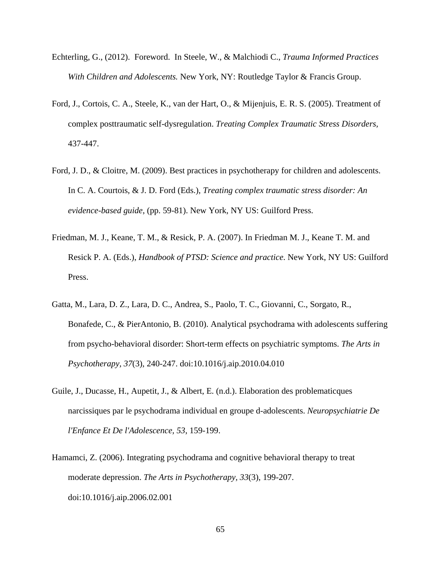- Echterling, G., (2012). Foreword. In Steele, W., & Malchiodi C., *Trauma Informed Practices With Children and Adolescents.* New York, NY: Routledge Taylor & Francis Group.
- Ford, J., Cortois, C. A., Steele, K., van der Hart, O., & Mijenjuis, E. R. S. (2005). Treatment of complex posttraumatic self-dysregulation. *Treating Complex Traumatic Stress Disorders,*  437-447.
- Ford, J. D., & Cloitre, M. (2009). Best practices in psychotherapy for children and adolescents. In C. A. Courtois, & J. D. Ford (Eds.), *Treating complex traumatic stress disorder: An evidence-based guide*, (pp. 59-81). New York, NY US: Guilford Press.
- Friedman, M. J., Keane, T. M., & Resick, P. A. (2007). In Friedman M. J., Keane T. M. and Resick P. A. (Eds.), *Handbook of PTSD: Science and practice*. New York, NY US: Guilford Press.
- Gatta, M., Lara, D. Z., Lara, D. C., Andrea, S., Paolo, T. C., Giovanni, C., Sorgato, R., Bonafede, C., & PierAntonio, B. (2010). Analytical psychodrama with adolescents suffering from psycho-behavioral disorder: Short-term effects on psychiatric symptoms. *The Arts in Psychotherapy, 37*(3), 240-247. doi:10.1016/j.aip.2010.04.010
- Guile, J., Ducasse, H., Aupetit, J., & Albert, E. (n.d.). Elaboration des problematicques narcissiques par le psychodrama individual en groupe d-adolescents. *Neuropsychiatrie De l'Enfance Et De l'Adolescence, 53*, 159-199.
- Hamamci, Z. (2006). Integrating psychodrama and cognitive behavioral therapy to treat moderate depression. *The Arts in Psychotherapy, 33*(3), 199-207. doi:10.1016/j.aip.2006.02.001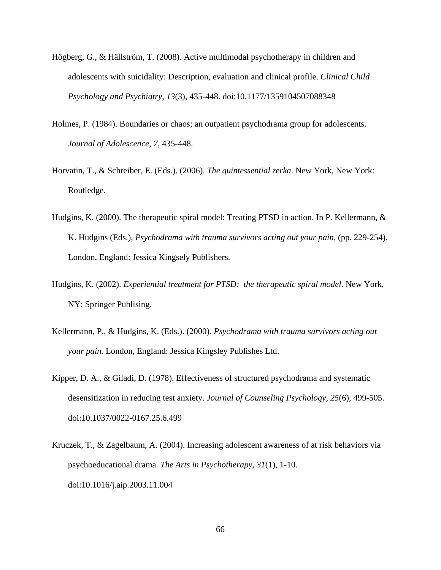- Högberg, G., & Hällström, T. (2008). Active multimodal psychotherapy in children and adolescents with suicidality: Description, evaluation and clinical profile. *Clinical Child Psychology and Psychiatry, 13*(3), 435-448. doi:10.1177/1359104507088348
- Holmes, P. (1984). Boundaries or chaos; an outpatient psychodrama group for adolescents. *Journal of Adolescence, 7*, 435-448.
- Horvatin, T., & Schreiber, E. (Eds.). (2006). *The quintessential zerka*. New York, New York: Routledge.
- Hudgins, K. (2000). The therapeutic spiral model: Treating PTSD in action. In P. Kellermann, & K. Hudgins (Eds.), *Psychodrama with trauma survivors acting out your pain,* (pp. 229-254). London, England: Jessica Kingsely Publishers.
- Hudgins, K. (2002). *Experiential treatment for PTSD: the therapeutic spiral model*. New York, NY: Springer Publising.
- Kellermann, P., & Hudgins, K. (Eds.). (2000). *Psychodrama with trauma survivors acting out your pain*. London, England: Jessica Kingsley Publishes Ltd.
- Kipper, D. A., & Giladi, D. (1978). Effectiveness of structured psychodrama and systematic desensitization in reducing test anxiety. *Journal of Counseling Psychology, 25*(6), 499-505. doi:10.1037/0022-0167.25.6.499
- Kruczek, T., & Zagelbaum, A. (2004). Increasing adolescent awareness of at risk behaviors via psychoeducational drama. *The Arts in Psychotherapy, 31*(1), 1-10. doi:10.1016/j.aip.2003.11.004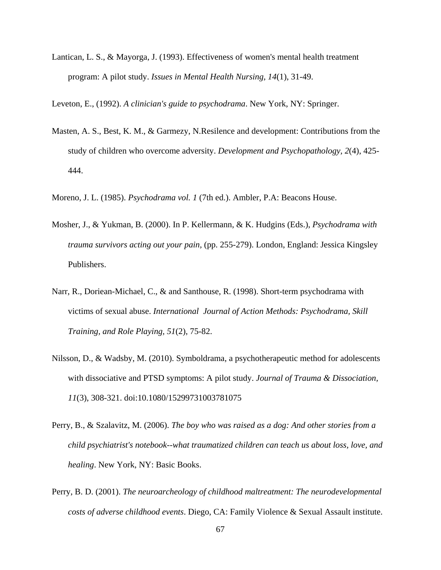Lantican, L. S., & Mayorga, J. (1993). Effectiveness of women's mental health treatment program: A pilot study. *Issues in Mental Health Nursing, 14*(1), 31-49.

Leveton, E., (1992). *A clinician's guide to psychodrama*. New York, NY: Springer.

- Masten, A. S., Best, K. M., & Garmezy, N.Resilence and development: Contributions from the study of children who overcome adversity. *Development and Psychopathology, 2*(4), 425- 444.
- Moreno, J. L. (1985). *Psychodrama vol. 1* (7th ed.). Ambler, P.A: Beacons House.
- Mosher, J., & Yukman, B. (2000). In P. Kellermann, & K. Hudgins (Eds.), *Psychodrama with trauma survivors acting out your pain,* (pp. 255-279). London, England: Jessica Kingsley Publishers.
- Narr, R., Doriean-Michael, C., & and Santhouse, R. (1998). Short-term psychodrama with victims of sexual abuse. *International Journal of Action Methods: Psychodrama, Skill Training, and Role Playing, 51*(2), 75-82.
- Nilsson, D., & Wadsby, M. (2010). Symboldrama, a psychotherapeutic method for adolescents with dissociative and PTSD symptoms: A pilot study. *Journal of Trauma & Dissociation, 11*(3), 308-321. doi:10.1080/15299731003781075
- Perry, B., & Szalavitz, M. (2006). *The boy who was raised as a dog: And other stories from a child psychiatrist's notebook--what traumatized children can teach us about loss, love, and healing*. New York, NY: Basic Books.
- Perry, B. D. (2001). *The neuroarcheology of childhood maltreatment: The neurodevelopmental costs of adverse childhood events*. Diego, CA: Family Violence & Sexual Assault institute.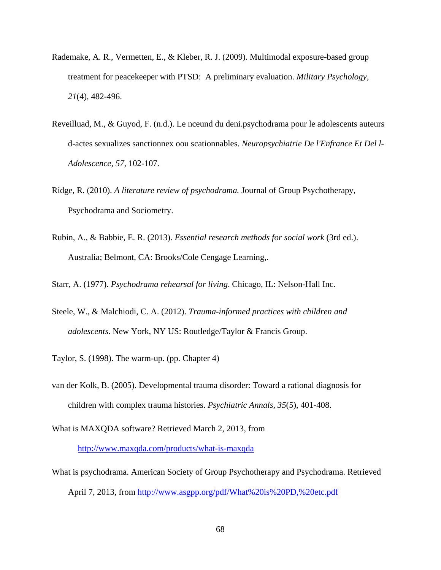- Rademake, A. R., Vermetten, E., & Kleber, R. J. (2009). Multimodal exposure-based group treatment for peacekeeper with PTSD: A preliminary evaluation. *Military Psychology, 21*(4), 482-496.
- Reveilluad, M., & Guyod, F. (n.d.). Le nceund du deni.psychodrama pour le adolescents auteurs d-actes sexualizes sanctionnex oou scationnables. *Neuropsychiatrie De l'Enfrance Et Del l-Adolescence, 57*, 102-107.
- Ridge, R. (2010). *A literature review of psychodrama.* Journal of Group Psychotherapy, Psychodrama and Sociometry.
- Rubin, A., & Babbie, E. R. (2013). *Essential research methods for social work* (3rd ed.). Australia; Belmont, CA: Brooks/Cole Cengage Learning,.
- Starr, A. (1977). *Psychodrama rehearsal for living*. Chicago, IL: Nelson-Hall Inc.
- Steele, W., & Malchiodi, C. A. (2012). *Trauma-informed practices with children and adolescents*. New York, NY US: Routledge/Taylor & Francis Group.
- Taylor, S. (1998). The warm-up. (pp. Chapter 4)
- van der Kolk, B. (2005). Developmental trauma disorder: Toward a rational diagnosis for children with complex trauma histories. *Psychiatric Annals, 35*(5), 401-408.
- What is MAXQDA software? Retrieved March 2, 2013, from http://www.maxqda.com/products/what-is-maxqda
- What is psychodrama. American Society of Group Psychotherapy and Psychodrama. Retrieved April 7, 2013, from http://www.asgpp.org/pdf/What%20is%20PD,%20etc.pdf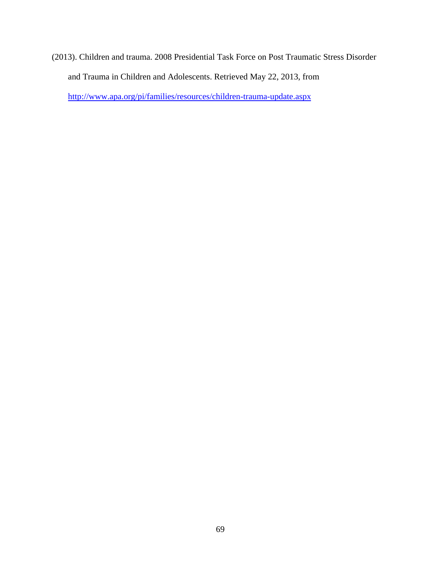(2013). Children and trauma. 2008 Presidential Task Force on Post Traumatic Stress Disorder and Trauma in Children and Adolescents. Retrieved May 22, 2013, from http://www.apa.org/pi/families/resources/children-trauma-update.aspx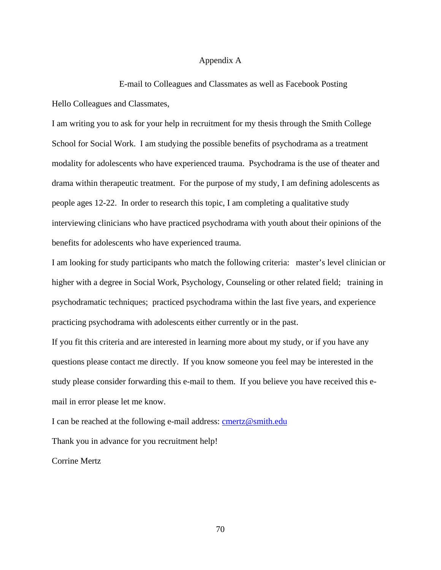## Appendix A

E-mail to Colleagues and Classmates as well as Facebook Posting Hello Colleagues and Classmates,

I am writing you to ask for your help in recruitment for my thesis through the Smith College School for Social Work. I am studying the possible benefits of psychodrama as a treatment modality for adolescents who have experienced trauma. Psychodrama is the use of theater and drama within therapeutic treatment. For the purpose of my study, I am defining adolescents as people ages 12-22. In order to research this topic, I am completing a qualitative study interviewing clinicians who have practiced psychodrama with youth about their opinions of the benefits for adolescents who have experienced trauma.

I am looking for study participants who match the following criteria: master's level clinician or higher with a degree in Social Work, Psychology, Counseling or other related field; training in psychodramatic techniques; practiced psychodrama within the last five years, and experience practicing psychodrama with adolescents either currently or in the past.

If you fit this criteria and are interested in learning more about my study, or if you have any questions please contact me directly. If you know someone you feel may be interested in the study please consider forwarding this e-mail to them. If you believe you have received this email in error please let me know.

I can be reached at the following e-mail address: cmertz@smith.edu

Thank you in advance for you recruitment help!

Corrine Mertz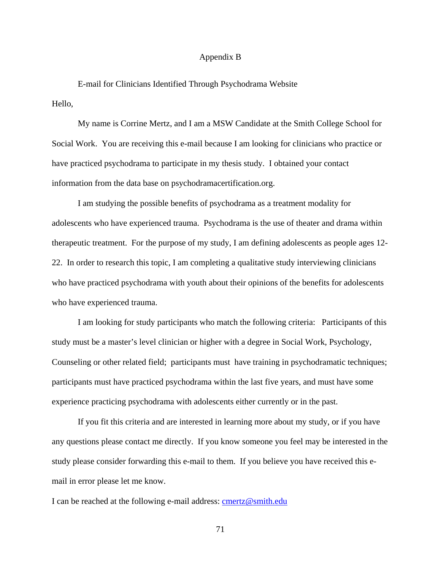## Appendix B

E-mail for Clinicians Identified Through Psychodrama Website Hello,

My name is Corrine Mertz, and I am a MSW Candidate at the Smith College School for Social Work. You are receiving this e-mail because I am looking for clinicians who practice or have practiced psychodrama to participate in my thesis study. I obtained your contact information from the data base on psychodramacertification.org.

I am studying the possible benefits of psychodrama as a treatment modality for adolescents who have experienced trauma. Psychodrama is the use of theater and drama within therapeutic treatment. For the purpose of my study, I am defining adolescents as people ages 12- 22. In order to research this topic, I am completing a qualitative study interviewing clinicians who have practiced psychodrama with youth about their opinions of the benefits for adolescents who have experienced trauma.

I am looking for study participants who match the following criteria: Participants of this study must be a master's level clinician or higher with a degree in Social Work, Psychology, Counseling or other related field; participants must have training in psychodramatic techniques; participants must have practiced psychodrama within the last five years, and must have some experience practicing psychodrama with adolescents either currently or in the past.

If you fit this criteria and are interested in learning more about my study, or if you have any questions please contact me directly. If you know someone you feel may be interested in the study please consider forwarding this e-mail to them. If you believe you have received this email in error please let me know.

I can be reached at the following e-mail address: cmertz@smith.edu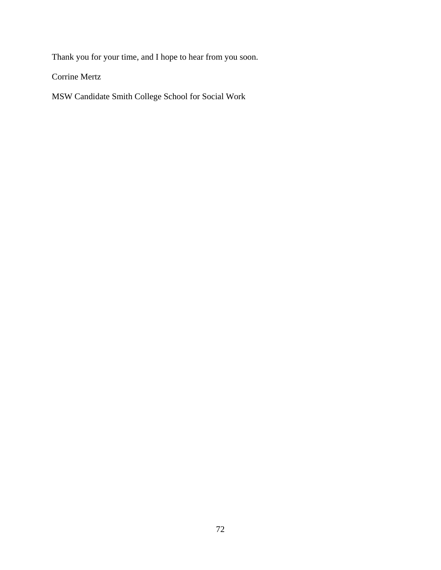Thank you for your time, and I hope to hear from you soon.

Corrine Mertz

MSW Candidate Smith College School for Social Work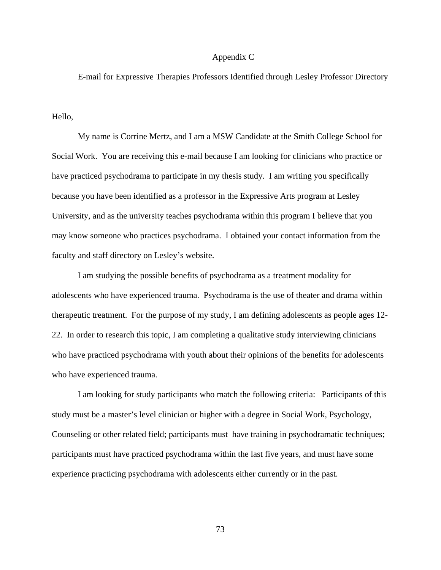## Appendix C

E-mail for Expressive Therapies Professors Identified through Lesley Professor Directory

Hello,

 My name is Corrine Mertz, and I am a MSW Candidate at the Smith College School for Social Work. You are receiving this e-mail because I am looking for clinicians who practice or have practiced psychodrama to participate in my thesis study. I am writing you specifically because you have been identified as a professor in the Expressive Arts program at Lesley University, and as the university teaches psychodrama within this program I believe that you may know someone who practices psychodrama. I obtained your contact information from the faculty and staff directory on Lesley's website.

 I am studying the possible benefits of psychodrama as a treatment modality for adolescents who have experienced trauma. Psychodrama is the use of theater and drama within therapeutic treatment. For the purpose of my study, I am defining adolescents as people ages 12- 22. In order to research this topic, I am completing a qualitative study interviewing clinicians who have practiced psychodrama with youth about their opinions of the benefits for adolescents who have experienced trauma.

 I am looking for study participants who match the following criteria: Participants of this study must be a master's level clinician or higher with a degree in Social Work, Psychology, Counseling or other related field; participants must have training in psychodramatic techniques; participants must have practiced psychodrama within the last five years, and must have some experience practicing psychodrama with adolescents either currently or in the past.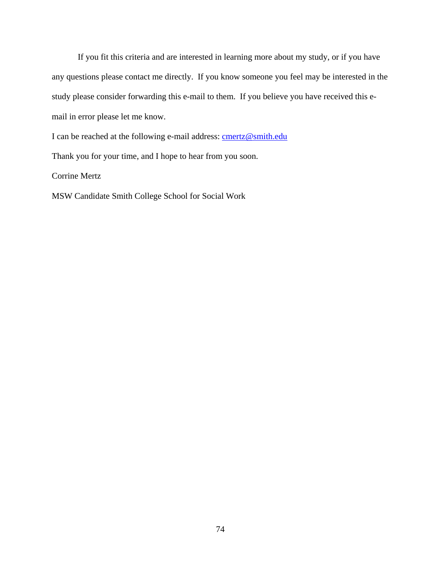If you fit this criteria and are interested in learning more about my study, or if you have any questions please contact me directly. If you know someone you feel may be interested in the study please consider forwarding this e-mail to them. If you believe you have received this email in error please let me know.

I can be reached at the following e-mail address: **cmertz@smith.edu** 

Thank you for your time, and I hope to hear from you soon.

Corrine Mertz

MSW Candidate Smith College School for Social Work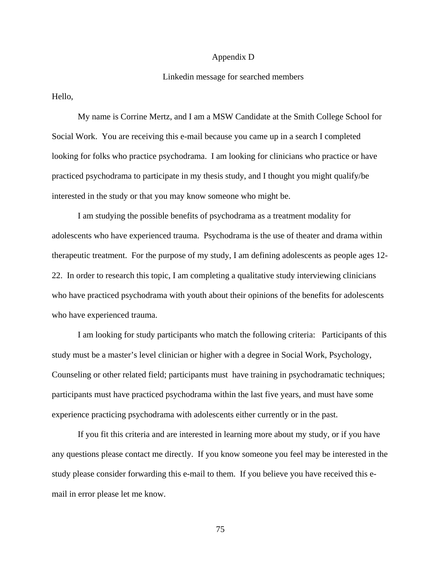### Appendix D

#### Linkedin message for searched members

Hello,

My name is Corrine Mertz, and I am a MSW Candidate at the Smith College School for Social Work. You are receiving this e-mail because you came up in a search I completed looking for folks who practice psychodrama. I am looking for clinicians who practice or have practiced psychodrama to participate in my thesis study, and I thought you might qualify/be interested in the study or that you may know someone who might be.

I am studying the possible benefits of psychodrama as a treatment modality for adolescents who have experienced trauma. Psychodrama is the use of theater and drama within therapeutic treatment. For the purpose of my study, I am defining adolescents as people ages 12- 22. In order to research this topic, I am completing a qualitative study interviewing clinicians who have practiced psychodrama with youth about their opinions of the benefits for adolescents who have experienced trauma.

I am looking for study participants who match the following criteria: Participants of this study must be a master's level clinician or higher with a degree in Social Work, Psychology, Counseling or other related field; participants must have training in psychodramatic techniques; participants must have practiced psychodrama within the last five years, and must have some experience practicing psychodrama with adolescents either currently or in the past.

If you fit this criteria and are interested in learning more about my study, or if you have any questions please contact me directly. If you know someone you feel may be interested in the study please consider forwarding this e-mail to them. If you believe you have received this email in error please let me know.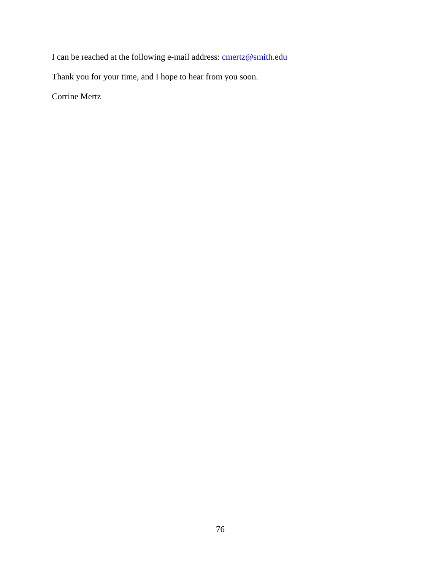I can be reached at the following e-mail address: **cmertz@smith.edu** 

Thank you for your time, and I hope to hear from you soon.

Corrine Mertz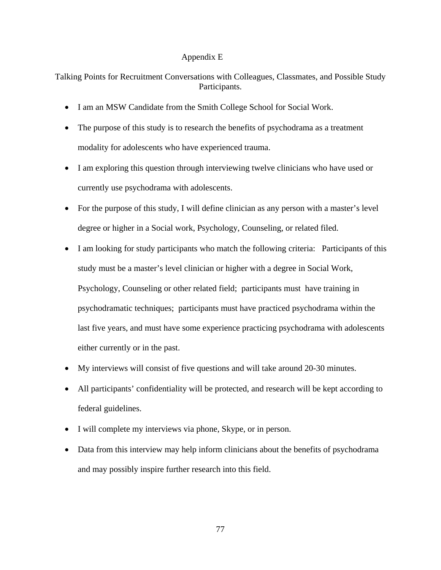## Appendix E

Talking Points for Recruitment Conversations with Colleagues, Classmates, and Possible Study Participants.

- I am an MSW Candidate from the Smith College School for Social Work.
- The purpose of this study is to research the benefits of psychodrama as a treatment modality for adolescents who have experienced trauma.
- I am exploring this question through interviewing twelve clinicians who have used or currently use psychodrama with adolescents.
- For the purpose of this study, I will define clinician as any person with a master's level degree or higher in a Social work, Psychology, Counseling, or related filed.
- I am looking for study participants who match the following criteria: Participants of this study must be a master's level clinician or higher with a degree in Social Work, Psychology, Counseling or other related field; participants must have training in psychodramatic techniques; participants must have practiced psychodrama within the last five years, and must have some experience practicing psychodrama with adolescents either currently or in the past.
- My interviews will consist of five questions and will take around 20-30 minutes.
- All participants' confidentiality will be protected, and research will be kept according to federal guidelines.
- I will complete my interviews via phone, Skype, or in person.
- Data from this interview may help inform clinicians about the benefits of psychodrama and may possibly inspire further research into this field.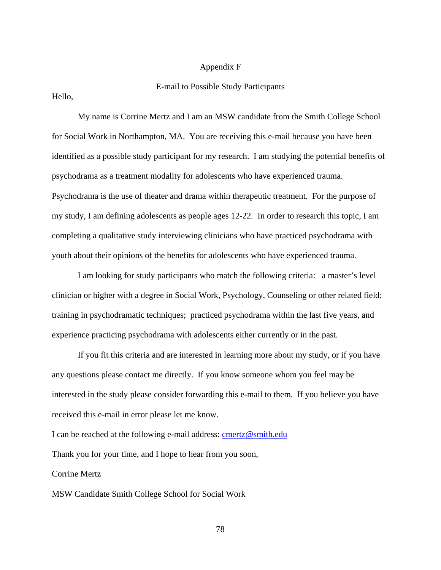## Appendix F

## E-mail to Possible Study Participants

Hello,

My name is Corrine Mertz and I am an MSW candidate from the Smith College School for Social Work in Northampton, MA. You are receiving this e-mail because you have been identified as a possible study participant for my research. I am studying the potential benefits of psychodrama as a treatment modality for adolescents who have experienced trauma. Psychodrama is the use of theater and drama within therapeutic treatment. For the purpose of my study, I am defining adolescents as people ages 12-22. In order to research this topic, I am completing a qualitative study interviewing clinicians who have practiced psychodrama with youth about their opinions of the benefits for adolescents who have experienced trauma.

I am looking for study participants who match the following criteria: a master's level clinician or higher with a degree in Social Work, Psychology, Counseling or other related field; training in psychodramatic techniques; practiced psychodrama within the last five years, and experience practicing psychodrama with adolescents either currently or in the past.

If you fit this criteria and are interested in learning more about my study, or if you have any questions please contact me directly. If you know someone whom you feel may be interested in the study please consider forwarding this e-mail to them. If you believe you have received this e-mail in error please let me know.

I can be reached at the following e-mail address: cmertz@smith.edu

Thank you for your time, and I hope to hear from you soon,

Corrine Mertz

MSW Candidate Smith College School for Social Work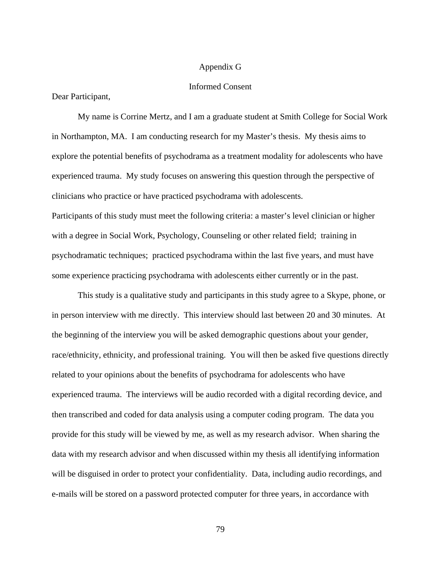## Appendix G

### Informed Consent

Dear Participant,

 My name is Corrine Mertz, and I am a graduate student at Smith College for Social Work in Northampton, MA. I am conducting research for my Master's thesis. My thesis aims to explore the potential benefits of psychodrama as a treatment modality for adolescents who have experienced trauma. My study focuses on answering this question through the perspective of clinicians who practice or have practiced psychodrama with adolescents. Participants of this study must meet the following criteria: a master's level clinician or higher with a degree in Social Work, Psychology, Counseling or other related field; training in psychodramatic techniques; practiced psychodrama within the last five years, and must have some experience practicing psychodrama with adolescents either currently or in the past.

 This study is a qualitative study and participants in this study agree to a Skype, phone, or in person interview with me directly. This interview should last between 20 and 30 minutes. At the beginning of the interview you will be asked demographic questions about your gender, race/ethnicity, ethnicity, and professional training. You will then be asked five questions directly related to your opinions about the benefits of psychodrama for adolescents who have experienced trauma. The interviews will be audio recorded with a digital recording device, and then transcribed and coded for data analysis using a computer coding program. The data you provide for this study will be viewed by me, as well as my research advisor. When sharing the data with my research advisor and when discussed within my thesis all identifying information will be disguised in order to protect your confidentiality. Data, including audio recordings, and e-mails will be stored on a password protected computer for three years, in accordance with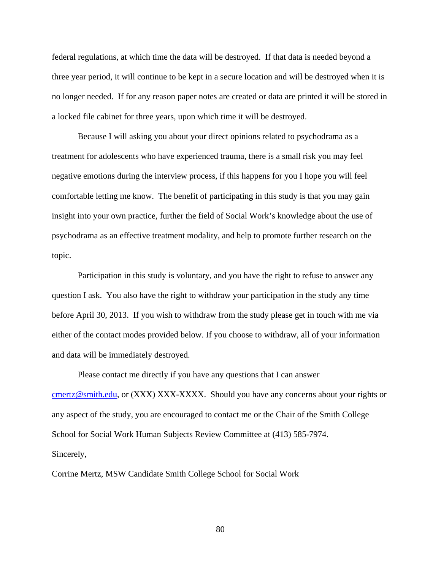federal regulations, at which time the data will be destroyed. If that data is needed beyond a three year period, it will continue to be kept in a secure location and will be destroyed when it is no longer needed. If for any reason paper notes are created or data are printed it will be stored in a locked file cabinet for three years, upon which time it will be destroyed.

 Because I will asking you about your direct opinions related to psychodrama as a treatment for adolescents who have experienced trauma, there is a small risk you may feel negative emotions during the interview process, if this happens for you I hope you will feel comfortable letting me know. The benefit of participating in this study is that you may gain insight into your own practice, further the field of Social Work's knowledge about the use of psychodrama as an effective treatment modality, and help to promote further research on the topic.

 Participation in this study is voluntary, and you have the right to refuse to answer any question I ask. You also have the right to withdraw your participation in the study any time before April 30, 2013. If you wish to withdraw from the study please get in touch with me via either of the contact modes provided below. If you choose to withdraw, all of your information and data will be immediately destroyed.

 Please contact me directly if you have any questions that I can answer cmertz@smith.edu, or (XXX) XXX-XXXX. Should you have any concerns about your rights or any aspect of the study, you are encouraged to contact me or the Chair of the Smith College School for Social Work Human Subjects Review Committee at (413) 585-7974. Sincerely,

Corrine Mertz, MSW Candidate Smith College School for Social Work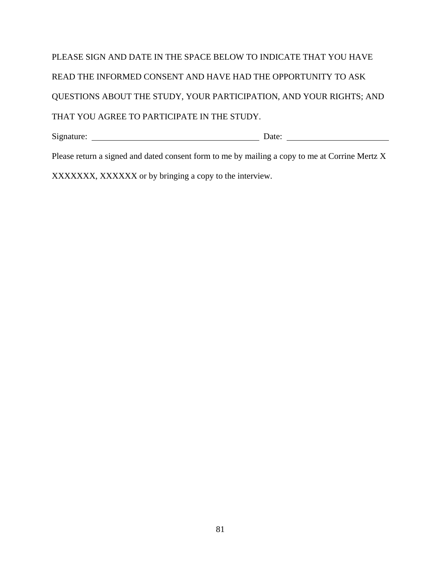|                                                                            | Date: $\qquad \qquad \qquad$ |
|----------------------------------------------------------------------------|------------------------------|
| THAT YOU AGREE TO PARTICIPATE IN THE STUDY.                                |                              |
| <b>OUESTIONS ABOUT THE STUDY, YOUR PARTICIPATION, AND YOUR RIGHTS; AND</b> |                              |
| READ THE INFORMED CONSENT AND HAVE HAD THE OPPORTUNITY TO ASK              |                              |
| PLEASE SIGN AND DATE IN THE SPACE BELOW TO INDICATE THAT YOU HAVE          |                              |

Please return a signed and dated consent form to me by mailing a copy to me at Corrine Mertz X

XXXXXXX, XXXXXX or by bringing a copy to the interview.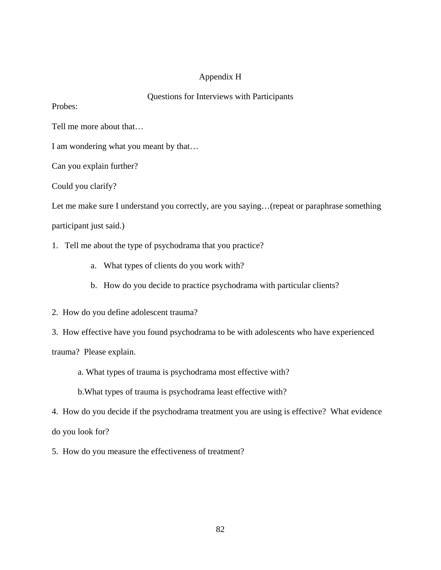# Appendix H

## Questions for Interviews with Participants

Probes:

Tell me more about that…

I am wondering what you meant by that…

Can you explain further?

Could you clarify?

Let me make sure I understand you correctly, are you saying...(repeat or paraphrase something

participant just said.)

1. Tell me about the type of psychodrama that you practice?

- a. What types of clients do you work with?
- b. How do you decide to practice psychodrama with particular clients?
- 2. How do you define adolescent trauma?
- 3. How effective have you found psychodrama to be with adolescents who have experienced

trauma? Please explain.

a. What types of trauma is psychodrama most effective with?

b.What types of trauma is psychodrama least effective with?

4. How do you decide if the psychodrama treatment you are using is effective? What evidence do you look for?

5. How do you measure the effectiveness of treatment?